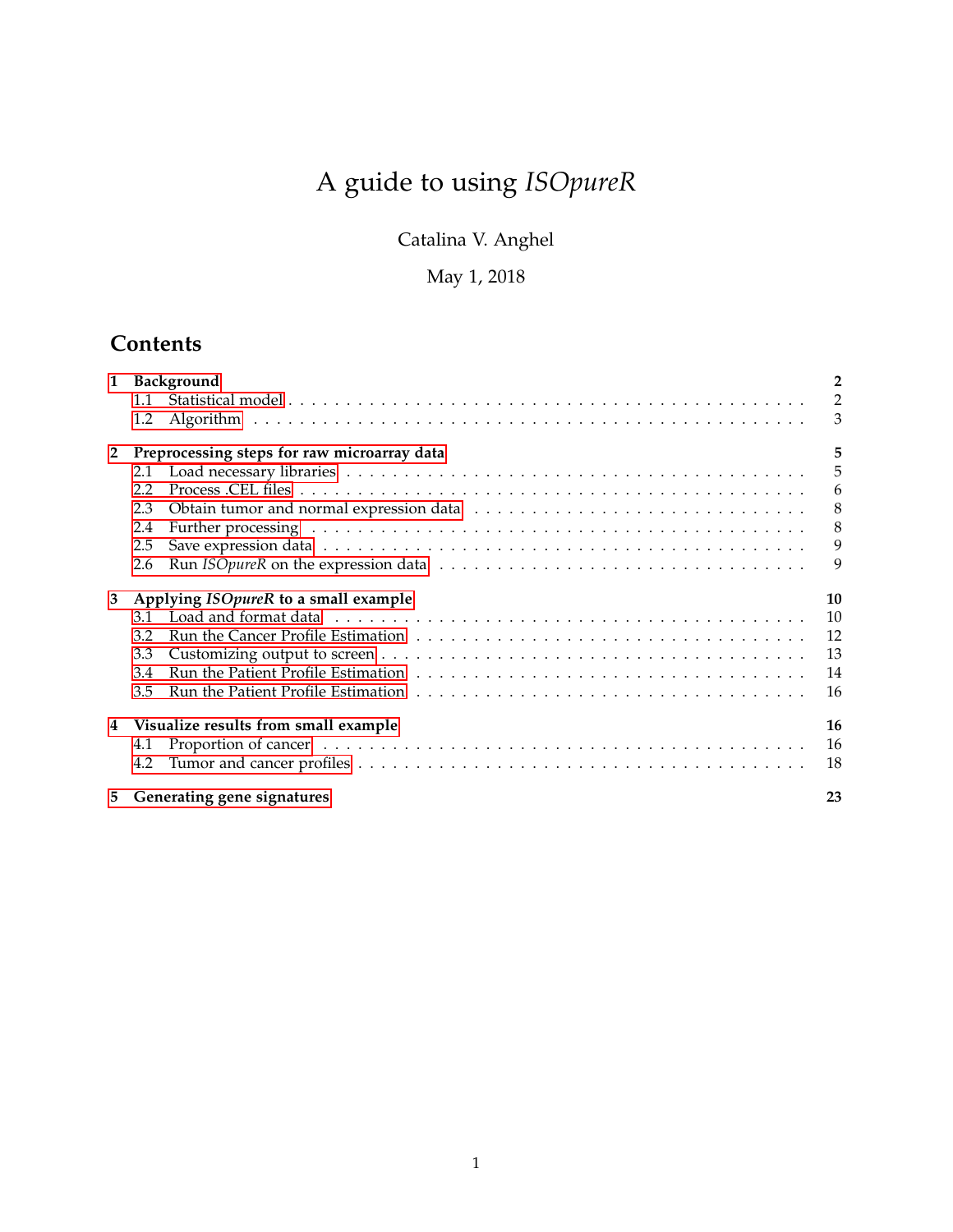# A guide to using *ISOpureR*

Catalina V. Anghel

## May 1, 2018

# **Contents**

| $\mathbf{1}$   | Background                                  | $\overline{2}$ |
|----------------|---------------------------------------------|----------------|
|                | 1.1                                         | $\overline{2}$ |
|                | 1.2                                         | 3              |
| $\overline{2}$ | Preprocessing steps for raw microarray data | 5              |
|                | 2.1                                         | 5              |
|                | 2.2                                         | 6              |
|                | 2.3                                         | 8              |
|                | 2.4                                         | 8              |
|                | 2.5                                         | 9              |
|                | 2.6                                         | 9              |
| 3              | Applying ISOpureR to a small example        | 10             |
|                | 3.1                                         | 10             |
|                | 3.2                                         | 12             |
|                | 3.3                                         | 13             |
|                | 3.4                                         | 14             |
|                | 3.5                                         | 16             |
| 4              | Visualize results from small example        | 16             |
|                | 4.1                                         | 16             |
|                | 4.2                                         | 18             |
| 5.             | Generating gene signatures                  | 23             |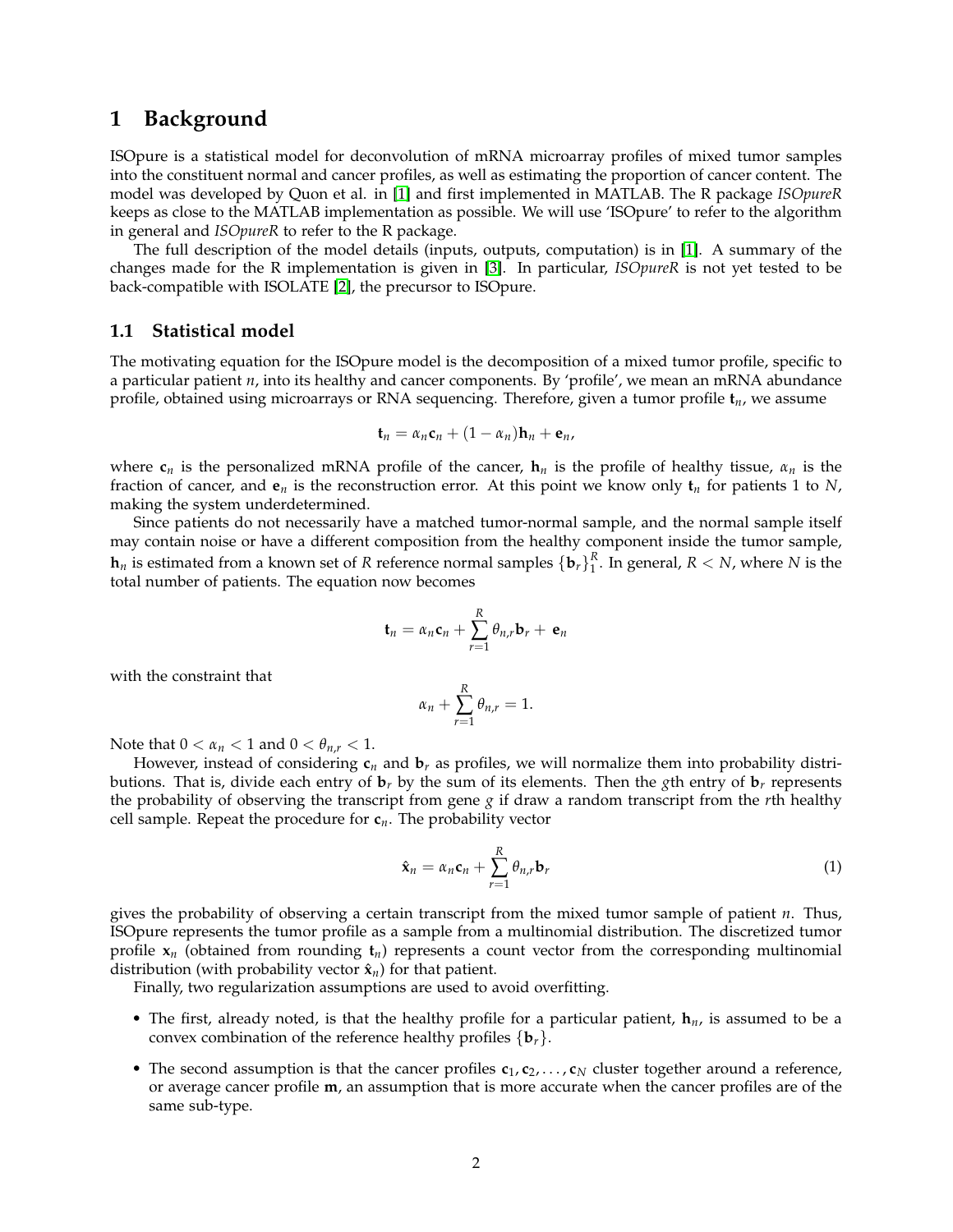### <span id="page-1-0"></span>**1 Background**

ISOpure is a statistical model for deconvolution of mRNA microarray profiles of mixed tumor samples into the constituent normal and cancer profiles, as well as estimating the proportion of cancer content. The model was developed by Quon et al. in [\[1\]](#page-22-1) and first implemented in MATLAB. The R package *ISOpureR* keeps as close to the MATLAB implementation as possible. We will use 'ISOpure' to refer to the algorithm in general and *ISOpureR* to refer to the R package.

The full description of the model details (inputs, outputs, computation) is in [\[1\]](#page-22-1). A summary of the changes made for the R implementation is given in [\[3\]](#page-22-2). In particular, *ISOpureR* is not yet tested to be back-compatible with ISOLATE [\[2\]](#page-22-3), the precursor to ISOpure.

#### <span id="page-1-1"></span>**1.1 Statistical model**

The motivating equation for the ISOpure model is the decomposition of a mixed tumor profile, specific to a particular patient *n*, into its healthy and cancer components. By 'profile', we mean an mRNA abundance profile, obtained using microarrays or RNA sequencing. Therefore, given a tumor profile **t***n*, we assume

$$
\mathbf{t}_n = \alpha_n \mathbf{c}_n + (1 - \alpha_n) \mathbf{h}_n + \mathbf{e}_n,
$$

where  $\mathbf{c}_n$  is the personalized mRNA profile of the cancer,  $\mathbf{h}_n$  is the profile of healthy tissue,  $\alpha_n$  is the fraction of cancer, and  $e_n$  is the reconstruction error. At this point we know only  $t_n$  for patients 1 to *N*, making the system underdetermined.

Since patients do not necessarily have a matched tumor-normal sample, and the normal sample itself may contain noise or have a different composition from the healthy component inside the tumor sample,  $h_n$  is estimated from a known set of *R* reference normal samples  $\{b_r\}_1^R$ . In general,  $R < N$ , where *N* is the total number of patients. The equation now becomes

$$
\mathbf{t}_n = \alpha_n \mathbf{c}_n + \sum_{r=1}^R \theta_{n,r} \mathbf{b}_r + \mathbf{e}_n
$$

with the constraint that

$$
\alpha_n + \sum_{r=1}^R \theta_{n,r} = 1.
$$

Note that  $0 < \alpha_n < 1$  and  $0 < \theta_{n,r} < 1$ .

However, instead of considering  $c_n$  and  $b_r$  as profiles, we will normalize them into probability distributions. That is, divide each entry of  $\mathbf{b}_r$  by the sum of its elements. Then the *g*th entry of  $\mathbf{b}_r$  represents the probability of observing the transcript from gene *g* if draw a random transcript from the *r*th healthy cell sample. Repeat the procedure for  $c_n$ . The probability vector

<span id="page-1-2"></span>
$$
\hat{\mathbf{x}}_n = \alpha_n \mathbf{c}_n + \sum_{r=1}^R \theta_{n,r} \mathbf{b}_r
$$
 (1)

gives the probability of observing a certain transcript from the mixed tumor sample of patient *n*. Thus, ISOpure represents the tumor profile as a sample from a multinomial distribution. The discretized tumor profile  $x_n$  (obtained from rounding  $t_n$ ) represents a count vector from the corresponding multinomial distribution (with probability vector  $\hat{\mathbf{x}}_n$ ) for that patient.

Finally, two regularization assumptions are used to avoid overfitting.

- The first, already noted, is that the healthy profile for a particular patient, **h***n*, is assumed to be a convex combination of the reference healthy profiles  $\{b_r\}$ .
- The second assumption is that the cancer profiles  $c_1, c_2, \ldots, c_N$  cluster together around a reference, or average cancer profile **m**, an assumption that is more accurate when the cancer profiles are of the same sub-type.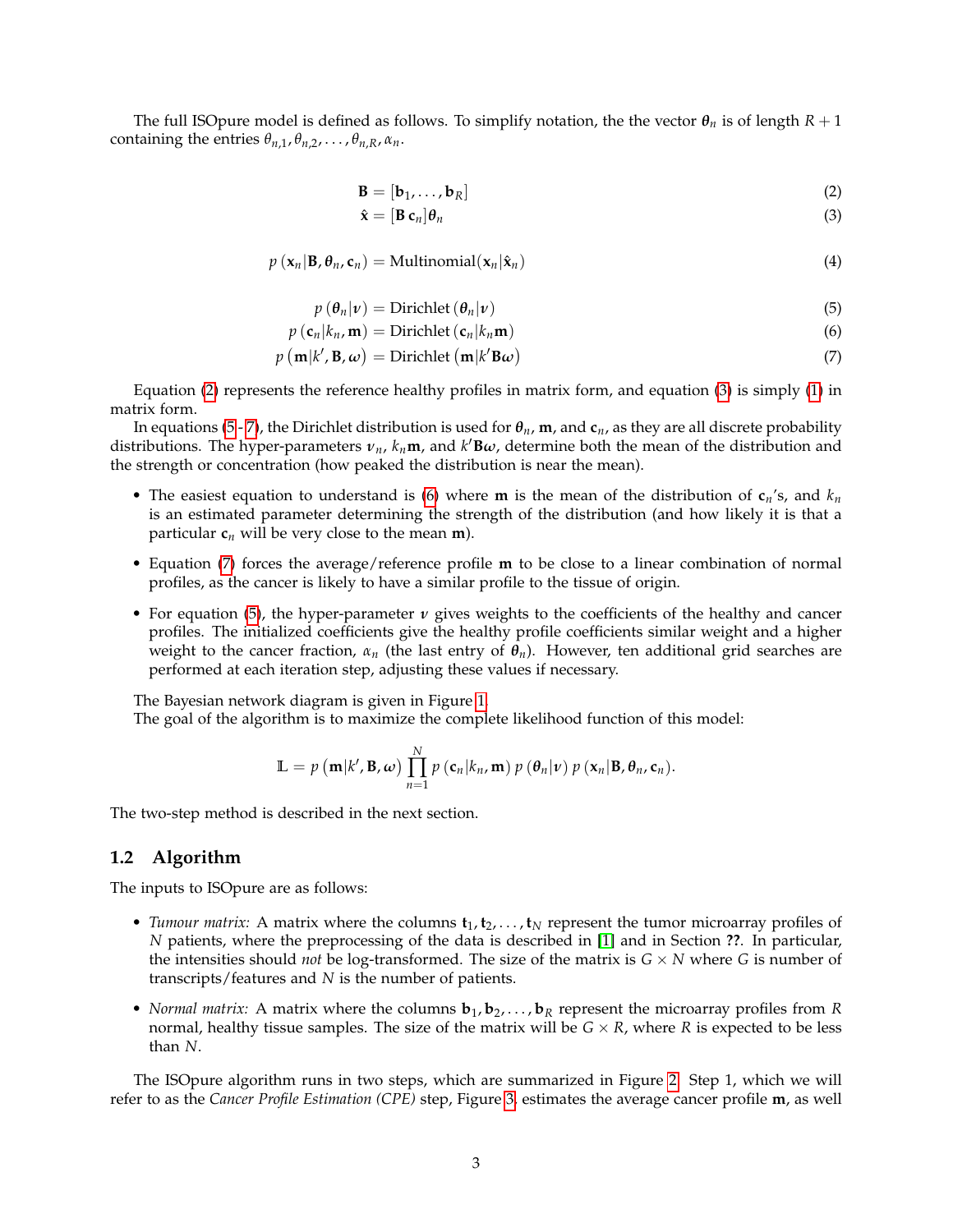The full ISOpure model is defined as follows. To simplify notation, the the vector  $\theta_n$  is of length  $R + 1$ containing the entries  $\theta_{n,1}, \theta_{n,2}, \ldots, \theta_{n,R}, \alpha_n$ .

$$
\mathbf{B} = [\mathbf{b}_1, \dots, \mathbf{b}_R] \tag{2}
$$

<span id="page-2-5"></span><span id="page-2-4"></span><span id="page-2-3"></span><span id="page-2-2"></span><span id="page-2-1"></span>
$$
\hat{\mathbf{x}} = [\mathbf{B} \; \mathbf{c}_n] \boldsymbol{\theta}_n \tag{3}
$$

$$
p\left(\mathbf{x}_{n}|\mathbf{B},\theta_{n},\mathbf{c}_{n}\right)=\text{Multinomial}(\mathbf{x}_{n}|\hat{\mathbf{x}}_{n})
$$
\n(4)

$$
p(\theta_n|\nu) = \text{Dirichlet}(\theta_n|\nu) \tag{5}
$$

$$
p\left(\mathbf{c}_n|k_n,\mathbf{m}\right) = \text{Dirichlet}\left(\mathbf{c}_n|k_n\mathbf{m}\right) \tag{6}
$$

$$
p(\mathbf{m}|k', \mathbf{B}, \omega) = \text{Dirichlet}(\mathbf{m}|k'\mathbf{B}\omega)
$$
\n(7)

Equation [\(2\)](#page-2-1) represents the reference healthy profiles in matrix form, and equation [\(3\)](#page-2-2) is simply [\(1\)](#page-1-2) in matrix form.

In equations [\(5](#page-2-3) - [7\)](#page-2-4), the Dirichlet distribution is used for *θn*, **m**, and **c***n*, as they are all discrete probability distributions. The hyper-parameters  $v_n$ ,  $k_n$ **m**, and  $k'$ **B** $\omega$ , determine both the mean of the distribution and the strength or concentration (how peaked the distribution is near the mean).

- The easiest equation to understand is [\(6\)](#page-2-5) where **m** is the mean of the distribution of  $c_n$ 's, and  $k_n$ is an estimated parameter determining the strength of the distribution (and how likely it is that a particular  $c_n$  will be very close to the mean **m**).
- Equation [\(7\)](#page-2-4) forces the average/reference profile **m** to be close to a linear combination of normal profiles, as the cancer is likely to have a similar profile to the tissue of origin.
- For equation [\(5\)](#page-2-3), the hyper-parameter  $\nu$  gives weights to the coefficients of the healthy and cancer profiles. The initialized coefficients give the healthy profile coefficients similar weight and a higher weight to the cancer fraction,  $\alpha_n$  (the last entry of  $\theta_n$ ). However, ten additional grid searches are performed at each iteration step, adjusting these values if necessary.

The Bayesian network diagram is given in Figure [1.](#page-3-0)

The goal of the algorithm is to maximize the complete likelihood function of this model:

$$
\mathbb{L} = p\left(\mathbf{m}|k', \mathbf{B}, \boldsymbol{\omega}\right) \prod_{n=1}^N p\left(\mathbf{c}_n | k_n, \mathbf{m}\right) p\left(\theta_n | \boldsymbol{\nu}\right) p\left(\mathbf{x}_n | \mathbf{B}, \theta_n, \mathbf{c}_n\right).
$$

The two-step method is described in the next section.

#### <span id="page-2-0"></span>**1.2 Algorithm**

The inputs to ISOpure are as follows:

- *Tumour matrix:* A matrix where the columns  $t_1, t_2, \ldots, t_N$  represent the tumor microarray profiles of *N* patients, where the preprocessing of the data is described in [\[1\]](#page-22-1) and in Section **??**. In particular, the intensities should *not* be log-transformed. The size of the matrix is  $G \times N$  where  $G$  is number of transcripts/features and *N* is the number of patients.
- *Normal matrix:* A matrix where the columns  $\mathbf{b}_1, \mathbf{b}_2, \ldots, \mathbf{b}_R$  represent the microarray profiles from *R* normal, healthy tissue samples. The size of the matrix will be  $G \times R$ , where R is expected to be less than *N*.

The ISOpure algorithm runs in two steps, which are summarized in Figure [2.](#page-4-2) Step 1, which we will refer to as the *Cancer Profile Estimation (CPE)* step, Figure [3,](#page-5-1) estimates the average cancer profile **m**, as well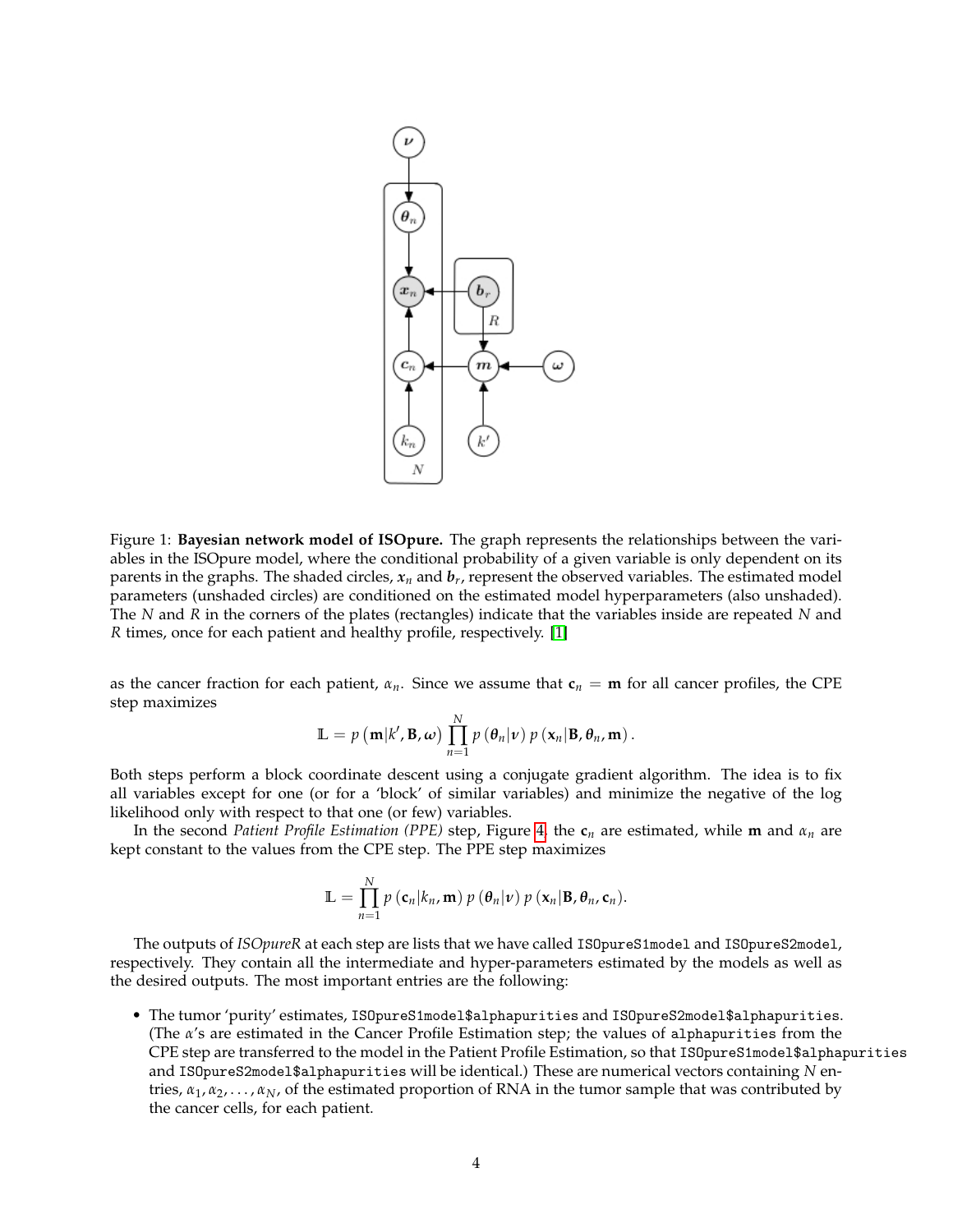

<span id="page-3-0"></span>Figure 1: **Bayesian network model of ISOpure.** The graph represents the relationships between the variables in the ISOpure model, where the conditional probability of a given variable is only dependent on its parents in the graphs. The shaded circles, *x<sup>n</sup>* and *b<sup>r</sup>* , represent the observed variables. The estimated model parameters (unshaded circles) are conditioned on the estimated model hyperparameters (also unshaded). The *N* and *R* in the corners of the plates (rectangles) indicate that the variables inside are repeated *N* and *R* times, once for each patient and healthy profile, respectively. [\[1\]](#page-22-1)

as the cancer fraction for each patient,  $\alpha_n$ . Since we assume that  $\mathbf{c}_n = \mathbf{m}$  for all cancer profiles, the CPE step maximizes

$$
\mathbb{L} = p\left(\mathbf{m}|k',\mathbf{B},\boldsymbol{\omega}\right) \prod_{n=1}^N p\left(\theta_n|\boldsymbol{\nu}\right) p\left(\mathbf{x}_n|\mathbf{B},\theta_n,\mathbf{m}\right).
$$

Both steps perform a block coordinate descent using a conjugate gradient algorithm. The idea is to fix all variables except for one (or for a 'block' of similar variables) and minimize the negative of the log likelihood only with respect to that one (or few) variables.

In the second *Patient Profile Estimation (PPE)* step, Figure [4,](#page-6-0) the  $\mathbf{c}_n$  are estimated, while **m** and  $\alpha_n$  are kept constant to the values from the CPE step. The PPE step maximizes

$$
\mathbb{L} = \prod_{n=1}^N p(c_n|k_n, \mathbf{m}) p(\theta_n|\mathbf{v}) p(\mathbf{x}_n|\mathbf{B}, \theta_n, \mathbf{c}_n).
$$

The outputs of *ISOpureR* at each step are lists that we have called ISOpureS1model and ISOpureS2model, respectively. They contain all the intermediate and hyper-parameters estimated by the models as well as the desired outputs. The most important entries are the following:

• The tumor 'purity' estimates, ISOpureS1model\$alphapurities and ISOpureS2model\$alphapurities. (The *α*'s are estimated in the Cancer Profile Estimation step; the values of alphapurities from the CPE step are transferred to the model in the Patient Profile Estimation, so that ISOpureS1model\$alphapurities and ISOpureS2model\$alphapurities will be identical.) These are numerical vectors containing *N* entries,  $\alpha_1, \alpha_2, \ldots, \alpha_N$ , of the estimated proportion of RNA in the tumor sample that was contributed by the cancer cells, for each patient.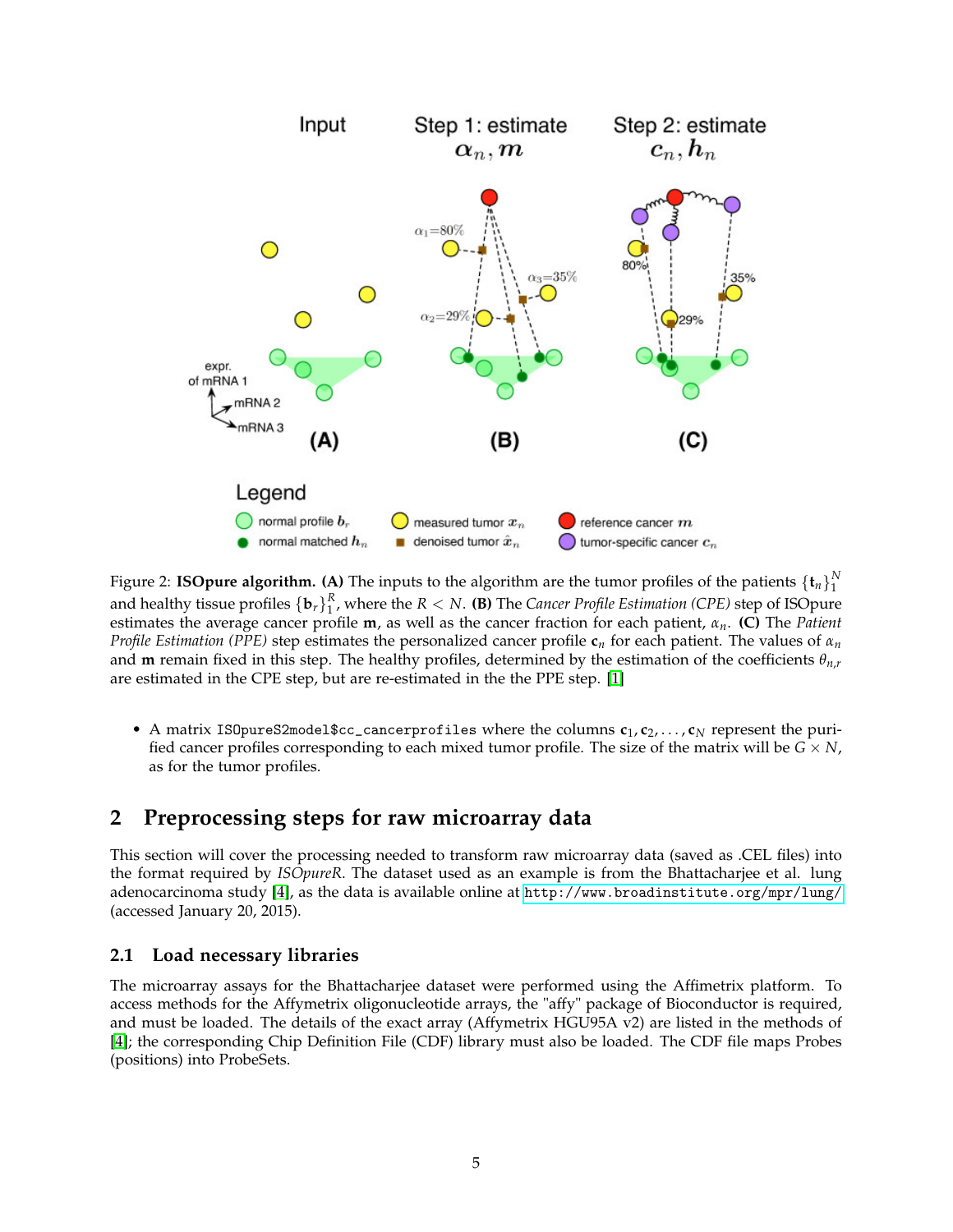

<span id="page-4-2"></span>Figure 2: **ISOpure algorithm.** (A) The inputs to the algorithm are the tumor profiles of the patients  $\{\mathbf{t}_n\}_1^N$ and healthy tissue profiles  $\{b_r\}_1^R$ , where the  $R < N$ . (B) The *Cancer Profile Estimation* (CPE) step of ISOpure estimates the average cancer profile **m**, as well as the cancer fraction for each patient, *αn*. **(C)** The *Patient Profile Estimation (PPE)* step estimates the personalized cancer profile **c***<sup>n</sup>* for each patient. The values of *α<sup>n</sup>* and **m** remain fixed in this step. The healthy profiles, determined by the estimation of the coefficients *θn*,*<sup>r</sup>* are estimated in the CPE step, but are re-estimated in the the PPE step. [\[1\]](#page-22-1)

• A matrix ISOpureS2model\$cc\_cancerprofiles where the columns  $c_1, c_2, \ldots, c_N$  represent the purified cancer profiles corresponding to each mixed tumor profile. The size of the matrix will be  $G \times N$ , as for the tumor profiles.

### <span id="page-4-0"></span>**2 Preprocessing steps for raw microarray data**

This section will cover the processing needed to transform raw microarray data (saved as .CEL files) into the format required by *ISOpureR*. The dataset used as an example is from the Bhattacharjee et al. lung adenocarcinoma study [\[4\]](#page-23-0), as the data is available online at <http://www.broadinstitute.org/mpr/lung/> (accessed January 20, 2015).

### <span id="page-4-1"></span>**2.1 Load necessary libraries**

The microarray assays for the Bhattacharjee dataset were performed using the Affimetrix platform. To access methods for the Affymetrix oligonucleotide arrays, the "affy" package of Bioconductor is required, and must be loaded. The details of the exact array (Affymetrix HGU95A v2) are listed in the methods of [\[4\]](#page-23-0); the corresponding Chip Definition File (CDF) library must also be loaded. The CDF file maps Probes (positions) into ProbeSets.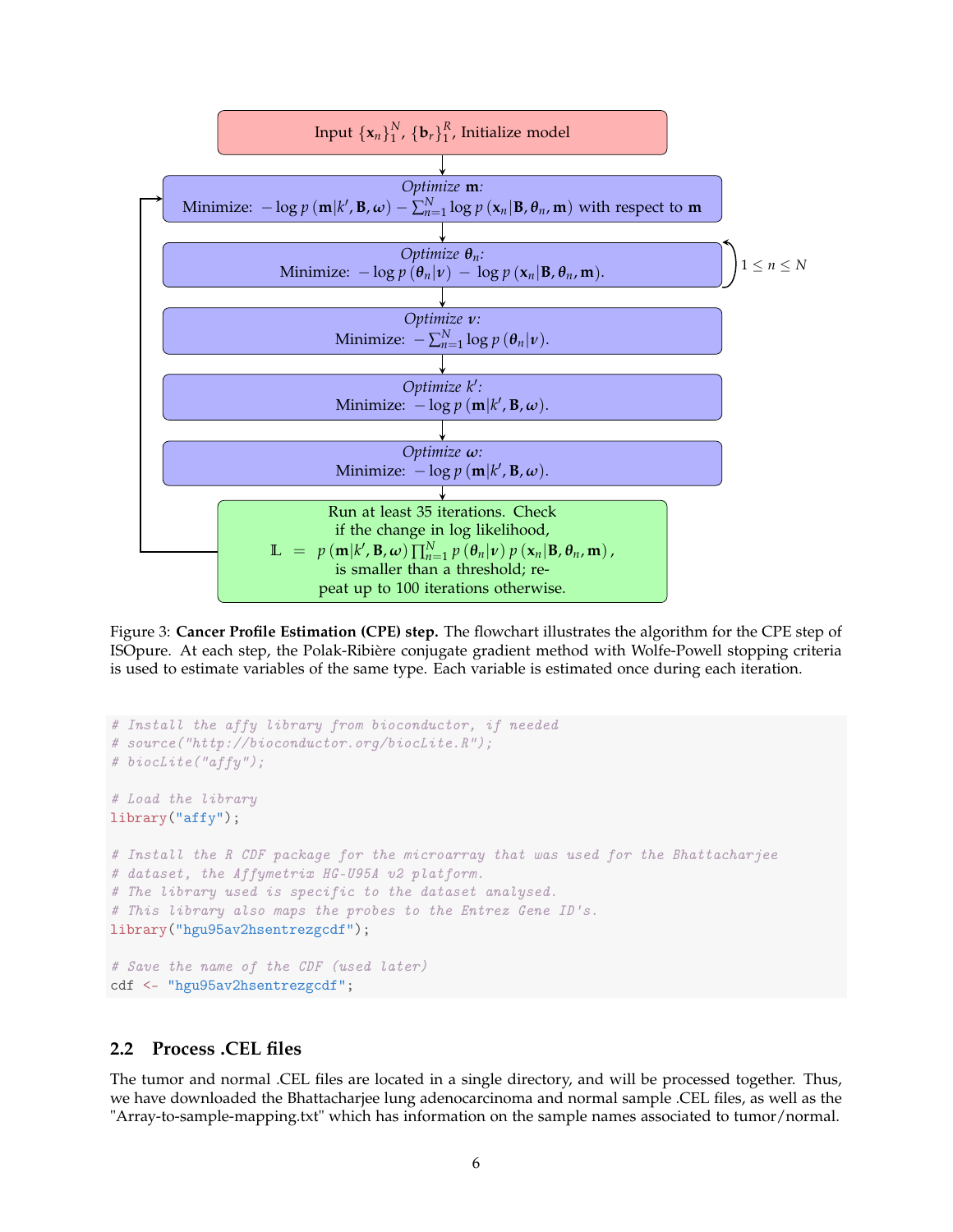

<span id="page-5-1"></span>Figure 3: **Cancer Profile Estimation (CPE) step.** The flowchart illustrates the algorithm for the CPE step of ISOpure. At each step, the Polak-Ribière conjugate gradient method with Wolfe-Powell stopping criteria is used to estimate variables of the same type. Each variable is estimated once during each iteration.

```
# Install the affy library from bioconductor, if needed
# source("http://bioconductor.org/biocLite.R");
# biocLite("affy");
# Load the library
library("affy");
# Install the R CDF package for the microarray that was used for the Bhattacharjee
# dataset, the Affymetrix HG-U95A v2 platform.
# The library used is specific to the dataset analysed.
# This library also maps the probes to the Entrez Gene ID's.
library("hgu95av2hsentrezgcdf");
# Save the name of the CDF (used later)
cdf <- "hgu95av2hsentrezgcdf";
```
#### <span id="page-5-0"></span>**2.2 Process .CEL files**

The tumor and normal .CEL files are located in a single directory, and will be processed together. Thus, we have downloaded the Bhattacharjee lung adenocarcinoma and normal sample .CEL files, as well as the "Array-to-sample-mapping.txt" which has information on the sample names associated to tumor/normal.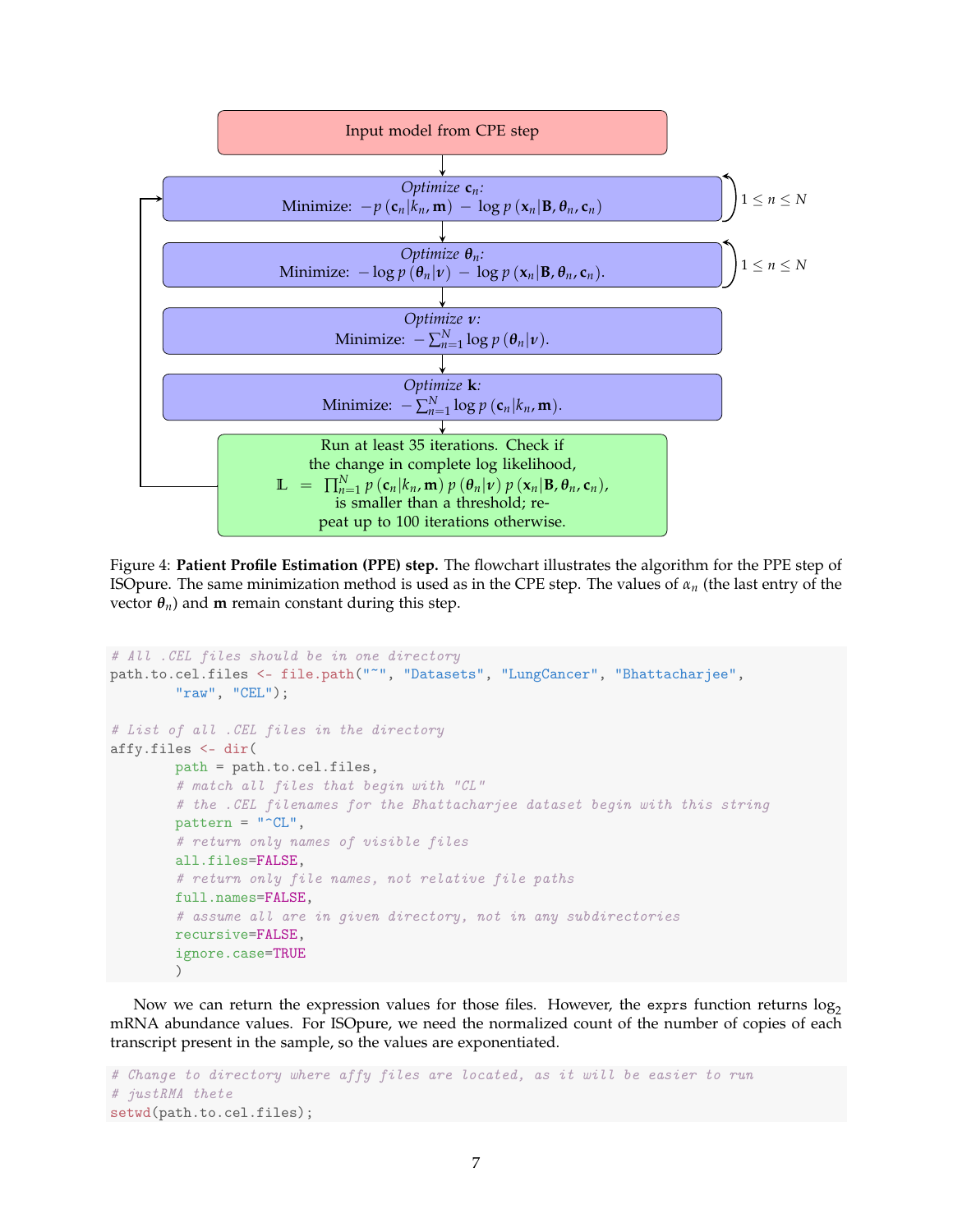

<span id="page-6-0"></span>Figure 4: **Patient Profile Estimation (PPE) step.** The flowchart illustrates the algorithm for the PPE step of ISOpure. The same minimization method is used as in the CPE step. The values of *αn* (the last entry of the vector  $\theta_n$ ) and **m** remain constant during this step.

```
# All .CEL files should be in one directory
path.to.cel.files <- file.path("~", "Datasets", "LungCancer", "Bhattacharjee",
        "raw", "CEL");
# List of all .CEL files in the directory
affy.files <- dir(
        path = path.to.cel.files,
        # match all files that begin with "CL"
        # the .CEL filenames for the Bhattacharjee dataset begin with this string
        pattern = "^CL",# return only names of visible files
        all.files=FALSE,
        # return only file names, not relative file paths
        full.names=FALSE,
        # assume all are in given directory, not in any subdirectories
        recursive=FALSE,
        ignore.case=TRUE
        \lambda
```
Now we can return the expression values for those files. However, the exprs function returns  $log_2$ mRNA abundance values. For ISOpure, we need the normalized count of the number of copies of each transcript present in the sample, so the values are exponentiated.

```
# Change to directory where affy files are located, as it will be easier to run
# justRMA thete
setwd(path.to.cel.files);
```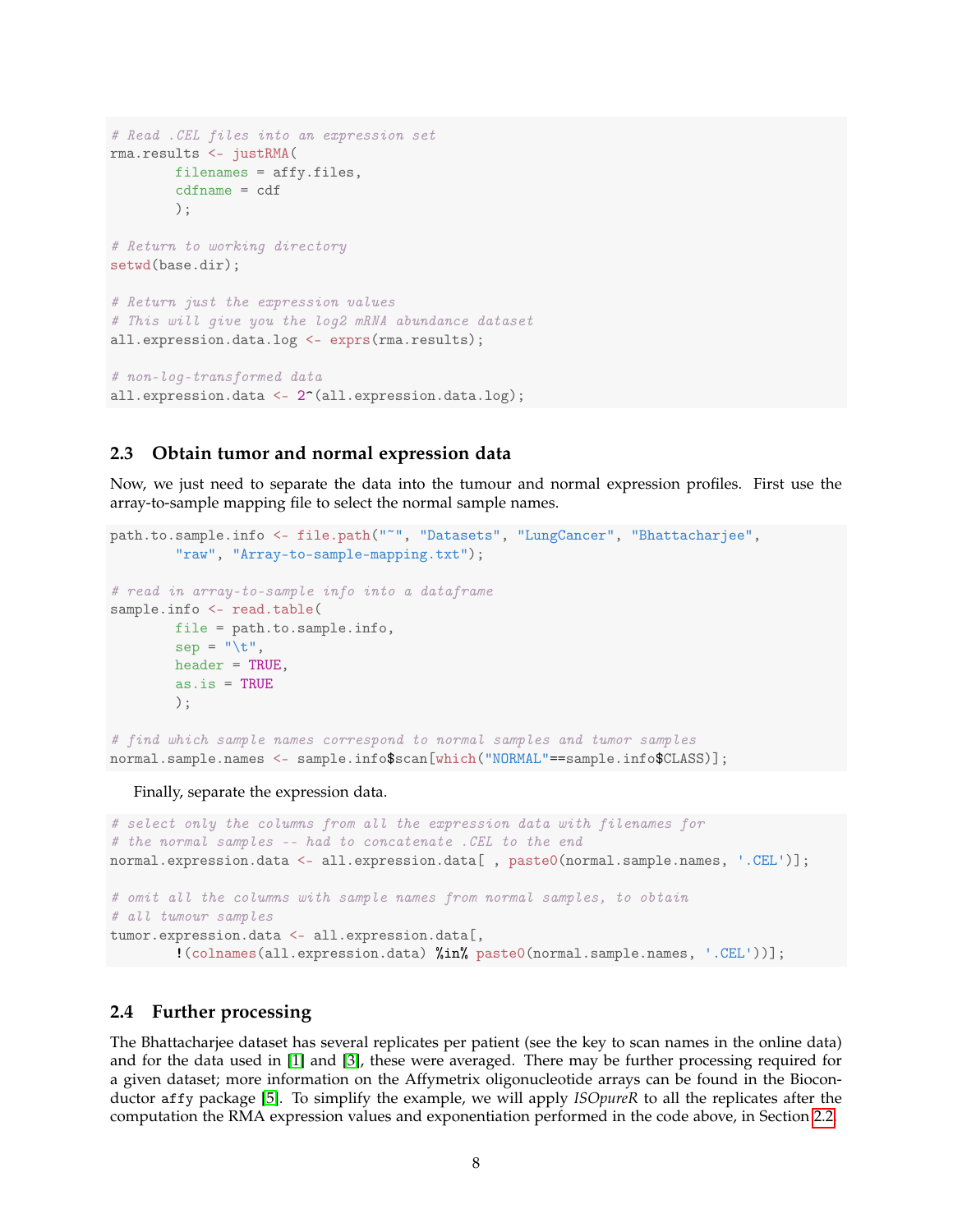```
# Read .CEL files into an expression set
rma.results <- justRMA(
        filenames = affy.files,
        cdfname = cdf
        );
# Return to working directory
setwd(base.dir);
# Return just the expression values
# This will give you the log2 mRNA abundance dataset
all.expression.data.log <- exprs(rma.results);
# non-log-transformed data
all.expression.data <- 2^{\text{-}}(all.expression.data.log);
```
### <span id="page-7-0"></span>**2.3 Obtain tumor and normal expression data**

Now, we just need to separate the data into the tumour and normal expression profiles. First use the array-to-sample mapping file to select the normal sample names.

```
path.to.sample.info <- file.path("~", "Datasets", "LungCancer", "Bhattacharjee",
        "raw", "Array-to-sample-mapping.txt");
# read in array-to-sample info into a dataframe
sample.info <- read.table(
       file = path.to.sample.info,
       sep = "\t",header = TRUE,
        as.is = TRUE);
# find which sample names correspond to normal samples and tumor samples
normal.sample.names <- sample.info$scan[which("NORMAL"==sample.info$CLASS)];
```
Finally, separate the expression data.

```
# select only the columns from all the expression data with filenames for
# the normal samples -- had to concatenate .CEL to the end
normal.expression.data <- all.expression.data[ , paste0(normal.sample.names, '.CEL')];
# omit all the columns with sample names from normal samples, to obtain
# all tumour samples
tumor.expression.data <- all.expression.data[,
        !(colnames(all.expression.data) %in% paste0(normal.sample.names, '.CEL'))];
```
#### <span id="page-7-1"></span>**2.4 Further processing**

The Bhattacharjee dataset has several replicates per patient (see the key to scan names in the online data) and for the data used in [\[1\]](#page-22-1) and [\[3\]](#page-22-2), these were averaged. There may be further processing required for a given dataset; more information on the Affymetrix oligonucleotide arrays can be found in the Bioconductor affy package [\[5\]](#page-23-1). To simplify the example, we will apply *ISOpureR* to all the replicates after the computation the RMA expression values and exponentiation performed in the code above, in Section [2.2.](#page-5-0)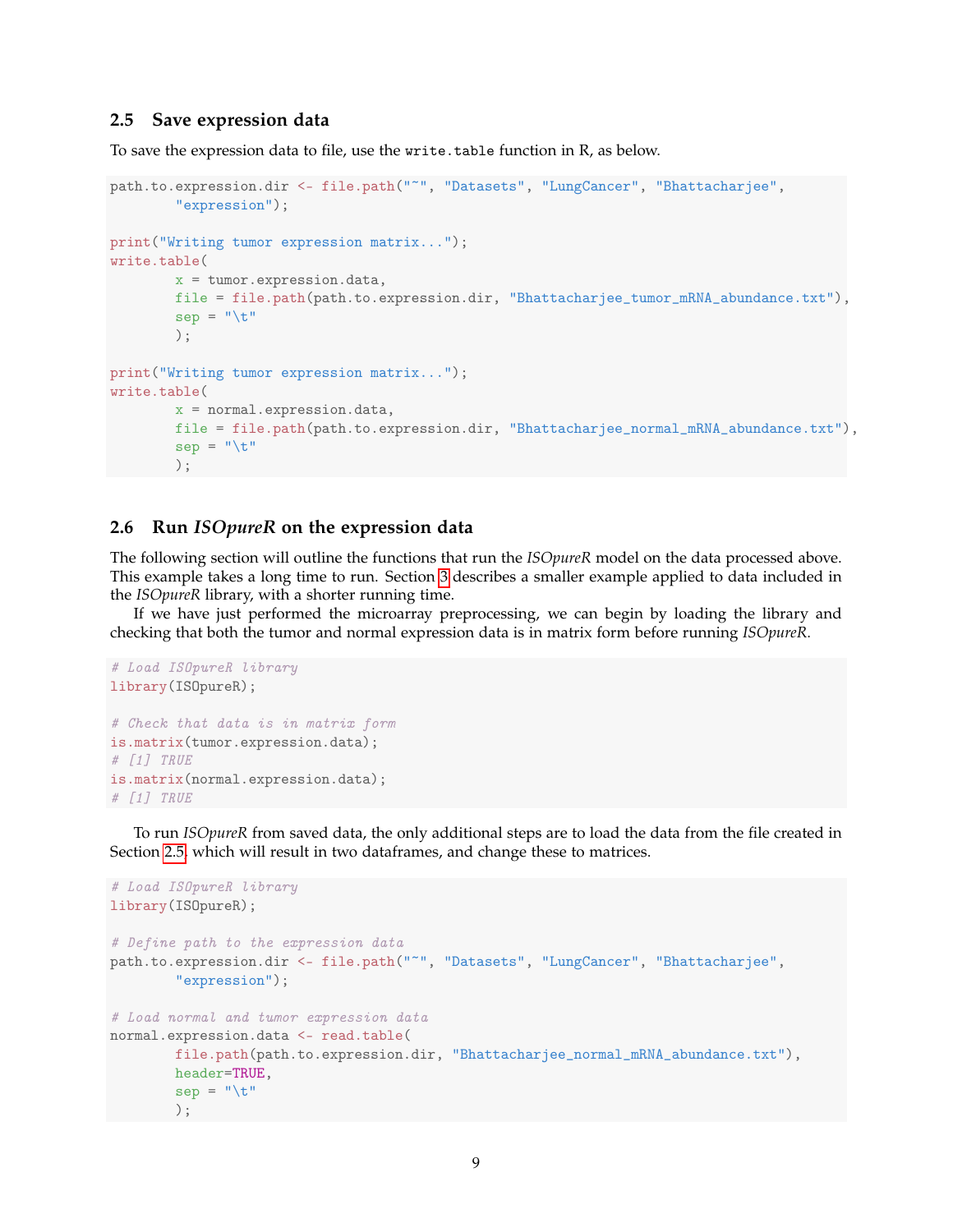### <span id="page-8-0"></span>**2.5 Save expression data**

To save the expression data to file, use the write.table function in R, as below.

```
path.to.expression.dir <- file.path("~", "Datasets", "LungCancer", "Bhattacharjee",
        "expression");
print("Writing tumor expression matrix...");
write.table(
       x = tumor.expression.data,
       file = file.path(path.to.expression.dir, "Bhattacharjee_tumor_mRNA_abundance.txt"),
        sep = "t");
print("Writing tumor expression matrix...");
write.table(
        x = normal.expression.data,
        file = file.path(path.to.expression.dir, "Bhattacharjee_normal_mRNA_abundance.txt"),
        sep = "\t"
        );
```
### <span id="page-8-1"></span>**2.6 Run** *ISOpureR* **on the expression data**

The following section will outline the functions that run the *ISOpureR* model on the data processed above. This example takes a long time to run. Section [3](#page-9-0) describes a smaller example applied to data included in the *ISOpureR* library, with a shorter running time.

If we have just performed the microarray preprocessing, we can begin by loading the library and checking that both the tumor and normal expression data is in matrix form before running *ISOpureR*.

```
# Load ISOpureR library
library(ISOpureR);
# Check that data is in matrix form
is.matrix(tumor.expression.data);
# [1] TRUE
is.matrix(normal.expression.data);
# [1] TRUE
```
To run *ISOpureR* from saved data, the only additional steps are to load the data from the file created in Section [2.5,](#page-8-0) which will result in two dataframes, and change these to matrices.

```
# Load ISOpureR library
library(ISOpureR);
# Define path to the expression data
path.to.expression.dir <- file.path("~", "Datasets", "LungCancer", "Bhattacharjee",
        "expression");
# Load normal and tumor expression data
normal.expression.data <- read.table(
        file.path(path.to.expression.dir, "Bhattacharjee_normal_mRNA_abundance.txt"),
       header=TRUE,
        sep = "\t"
        );
```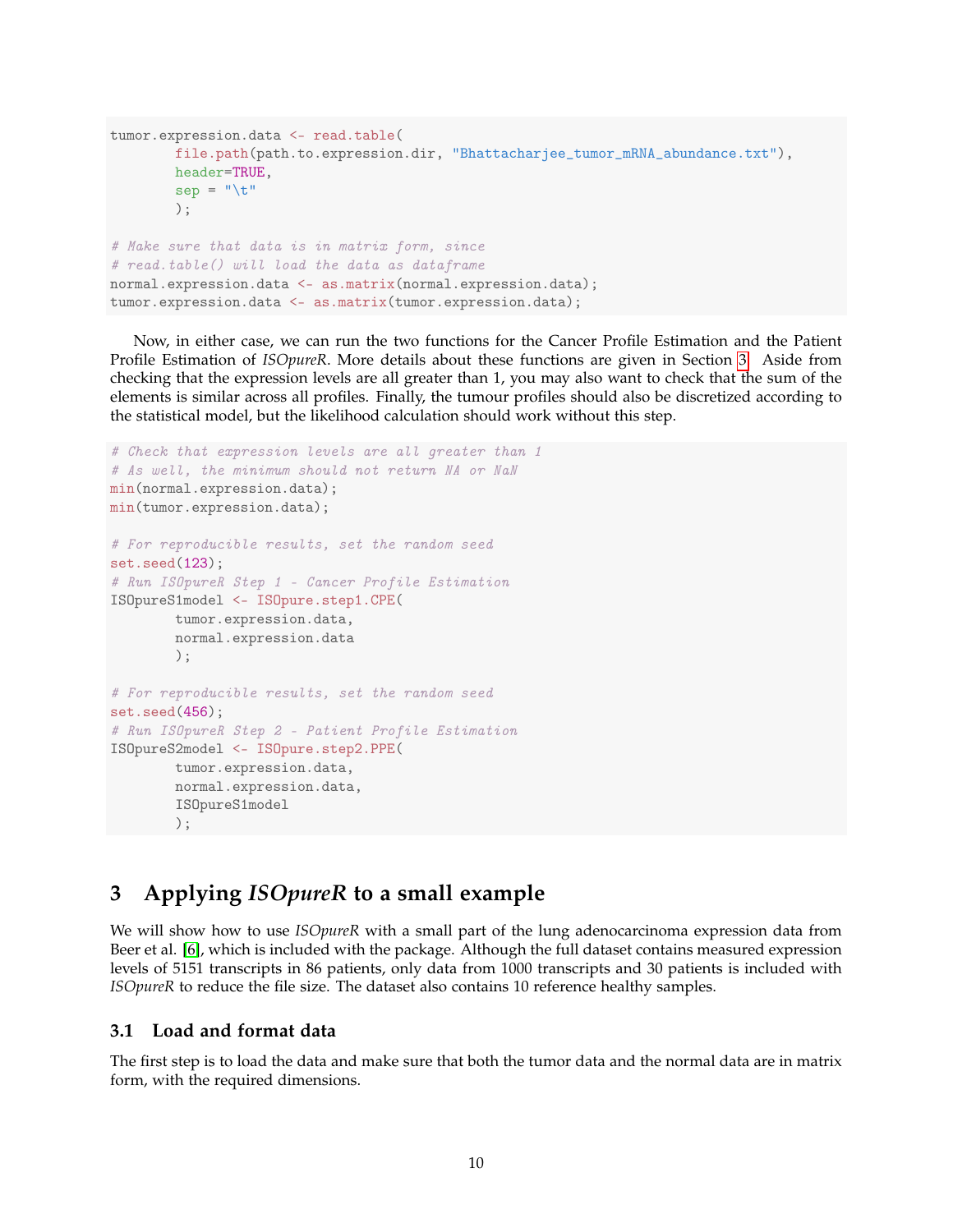```
tumor.expression.data <- read.table(
        file.path(path.to.expression.dir, "Bhattacharjee_tumor_mRNA_abundance.txt"),
        header=TRUE,
        sep = "t");
# Make sure that data is in matrix form, since
# read.table() will load the data as dataframe
normal.expression.data <- as.matrix(normal.expression.data);
tumor.expression.data <- as.matrix(tumor.expression.data);
```
Now, in either case, we can run the two functions for the Cancer Profile Estimation and the Patient Profile Estimation of *ISOpureR*. More details about these functions are given in Section [3.](#page-9-0) Aside from checking that the expression levels are all greater than 1, you may also want to check that the sum of the elements is similar across all profiles. Finally, the tumour profiles should also be discretized according to the statistical model, but the likelihood calculation should work without this step.

```
# Check that expression levels are all greater than 1
# As well, the minimum should not return NA or NaN
min(normal.expression.data);
min(tumor.expression.data);
# For reproducible results, set the random seed
set.seed(123);
# Run ISOpureR Step 1 - Cancer Profile Estimation
ISOpureS1model <- ISOpure.step1.CPE(
        tumor.expression.data,
        normal.expression.data
        );
# For reproducible results, set the random seed
set.seed(456);
# Run ISOpureR Step 2 - Patient Profile Estimation
ISOpureS2model <- ISOpure.step2.PPE(
        tumor.expression.data,
        normal.expression.data,
        ISOpureS1model
        );
```
### <span id="page-9-0"></span>**3 Applying** *ISOpureR* **to a small example**

We will show how to use *ISOpureR* with a small part of the lung adenocarcinoma expression data from Beer et al. [\[6\]](#page-23-2), which is included with the package. Although the full dataset contains measured expression levels of 5151 transcripts in 86 patients, only data from 1000 transcripts and 30 patients is included with *ISOpureR* to reduce the file size. The dataset also contains 10 reference healthy samples.

### <span id="page-9-1"></span>**3.1 Load and format data**

The first step is to load the data and make sure that both the tumor data and the normal data are in matrix form, with the required dimensions.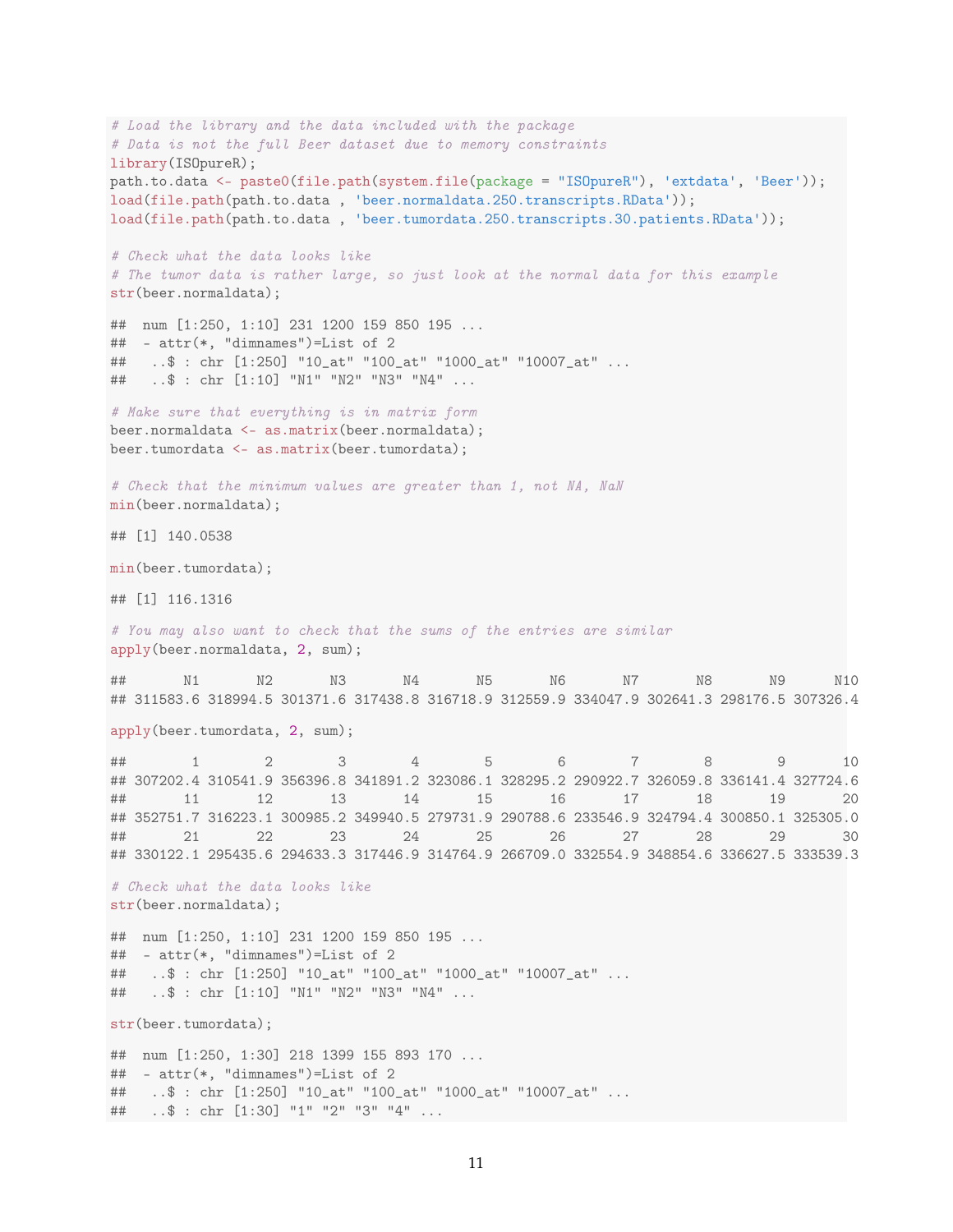```
# Load the library and the data included with the package
# Data is not the full Beer dataset due to memory constraints
library(ISOpureR);
path.to.data <- paste0(file.path(system.file(package = "ISOpureR"), 'extdata', 'Beer'));
load(file.path(path.to.data , 'beer.normaldata.250.transcripts.RData'));
load(file.path(path.to.data , 'beer.tumordata.250.transcripts.30.patients.RData'));
# Check what the data looks like
# The tumor data is rather large, so just look at the normal data for this example
str(beer.normaldata);
## num [1:250, 1:10] 231 1200 159 850 195 ...
## - attr(*, "dimnames")=List of 2
## ..$ : chr [1:250] "10_at" "100_at" "1000_at" "10007_at" ...
## ..$ : chr [1:10] "N1" "N2" "N3" "N4" ...
# Make sure that everything is in matrix form
beer.normaldata <- as.matrix(beer.normaldata);
beer.tumordata <- as.matrix(beer.tumordata);
# Check that the minimum values are greater than 1, not NA, NaN
min(beer.normaldata);
## [1] 140.0538
min(beer.tumordata);
## [1] 116.1316
# You may also want to check that the sums of the entries are similar
apply(beer.normaldata, 2, sum);
## N1 N2 N3 N4 N5 N6 N7 N8 N9 N10
## 311583.6 318994.5 301371.6 317438.8 316718.9 312559.9 334047.9 302641.3 298176.5 307326.4
apply(beer.tumordata, 2, sum);
## 1 2 3 4 5 6 7 8 9 10
## 307202.4 310541.9 356396.8 341891.2 323086.1 328295.2 290922.7 326059.8 336141.4 327724.6
## 11 12 13 14 15 16 17 18 19 20
## 352751.7 316223.1 300985.2 349940.5 279731.9 290788.6 233546.9 324794.4 300850.1 325305.0
## 21 22 23 24 25 26 27 28 29 30
## 330122.1 295435.6 294633.3 317446.9 314764.9 266709.0 332554.9 348854.6 336627.5 333539.3
# Check what the data looks like
str(beer.normaldata);
## num [1:250, 1:10] 231 1200 159 850 195 ...
\# - attr(*, "dimnames")=List of 2
## ..$ : chr [1:250] "10_at" "100_at" "1000_at" "10007_at" ...
## ..$ : chr [1:10] "N1" "N2" "N3" "N4" ...
str(beer.tumordata);
## num [1:250, 1:30] 218 1399 155 893 170 ...
\# - attr(*, "dimnames")=List of 2
## ..$ : chr [1:250] "10_at" "100_at" "1000_at" "10007_at" ...
## ..$ : chr [1:30] "1" "2" "3" "4" ...
```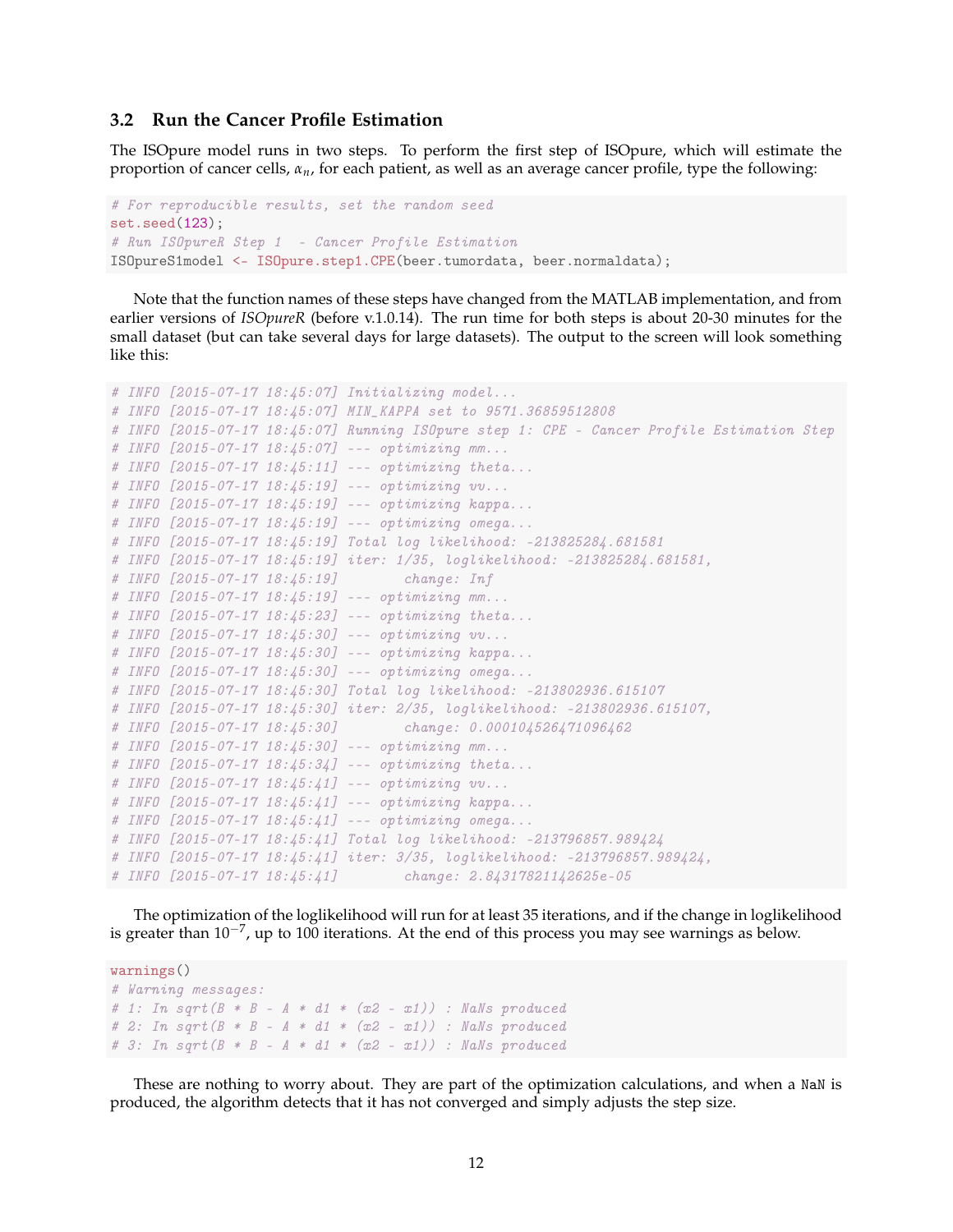#### <span id="page-11-0"></span>**3.2 Run the Cancer Profile Estimation**

The ISOpure model runs in two steps. To perform the first step of ISOpure, which will estimate the proportion of cancer cells, *αn*, for each patient, as well as an average cancer profile, type the following:

```
# For reproducible results, set the random seed
set.seed(123);
# Run ISOpureR Step 1 - Cancer Profile Estimation
ISOpureS1model <- ISOpure.step1.CPE(beer.tumordata, beer.normaldata);
```
Note that the function names of these steps have changed from the MATLAB implementation, and from earlier versions of *ISOpureR* (before v.1.0.14). The run time for both steps is about 20-30 minutes for the small dataset (but can take several days for large datasets). The output to the screen will look something like this:

```
# INFO [2015-07-17 18:45:07] Initializing model...
# INFO [2015-07-17 18:45:07] MIN_KAPPA set to 9571.36859512808
# INFO [2015-07-17 18:45:07] Running ISOpure step 1: CPE - Cancer Profile Estimation Step
# INFO [2015-07-17 18:45:07] --- optimizing mm...
# INFO [2015-07-17 18:45:11] --- optimizing theta...
# INFO [2015-07-17 18:45:19] --- optimizing vv...
# INFO [2015-07-17 18:45:19] --- optimizing kappa...
# INFO [2015-07-17 18:45:19] --- optimizing omega...
# INFO [2015-07-17 18:45:19] Total log likelihood: -213825284.681581
# INFO [2015-07-17 18:45:19] iter: 1/35, loglikelihood: -213825284.681581,
# INFO [2015-07-17 18:45:19] change: Inf
# INFO [2015-07-17 18:45:19] --- optimizing mm...
# INFO [2015-07-17 18:45:23] --- optimizing theta...
# INFO [2015-07-17 18:45:30] --- optimizing vv...
# INFO [2015-07-17 18:45:30] --- optimizing kappa...
# INFO [2015-07-17 18:45:30] --- optimizing omega...
# INFO [2015-07-17 18:45:30] Total log likelihood: -213802936.615107
# INFO [2015-07-17 18:45:30] iter: 2/35, loglikelihood: -213802936.615107,
# INFO [2015-07-17 18:45:30] change: 0.000104526471096462
# INFO [2015-07-17 18:45:30] --- optimizing mm...
# INFO [2015-07-17 18:45:34] --- optimizing theta...
# INFO [2015-07-17 18:45:41] --- optimizing vv...
# INFO [2015-07-17 18:45:41] --- optimizing kappa...
# INFO [2015-07-17 18:45:41] --- optimizing omega...
# INFO [2015-07-17 18:45:41] Total log likelihood: -213796857.989424
# INFO [2015-07-17 18:45:41] iter: 3/35, loglikelihood: -213796857.989424,
# INFO [2015-07-17 18:45:41] change: 2.84317821142625e-05
```
The optimization of the loglikelihood will run for at least 35 iterations, and if the change in loglikelihood is greater than 10<sup>-7</sup>, up to 100 iterations. At the end of this process you may see warnings as below.

```
warnings()
# Warning messages:
# 1: In sqrt (B * B - A * d1 * (x2 - x1)) : NaNs produced
# 2: In sqrt (B * B - A * d1 * (x2 - x1)) : NaNs produced
# 3: In sqrt (B * B - A * d1 * (x2 - x1)) : NaNs produced
```
These are nothing to worry about. They are part of the optimization calculations, and when a NaN is produced, the algorithm detects that it has not converged and simply adjusts the step size.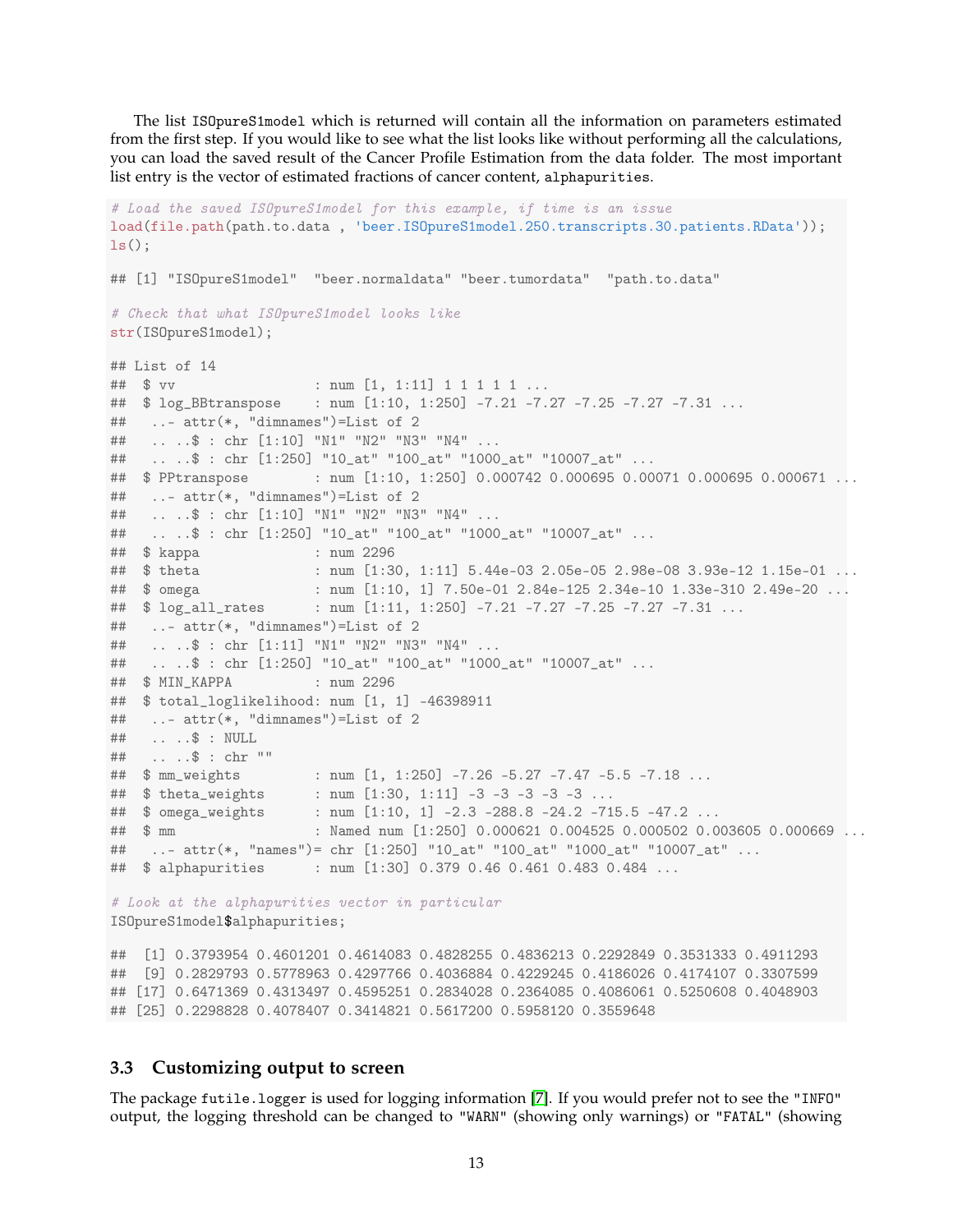The list ISOpureS1model which is returned will contain all the information on parameters estimated from the first step. If you would like to see what the list looks like without performing all the calculations, you can load the saved result of the Cancer Profile Estimation from the data folder. The most important list entry is the vector of estimated fractions of cancer content, alphapurities.

```
# Load the saved ISOpureS1model for this example, if time is an issue
load(file.path(path.to.data , 'beer.ISOpureS1model.250.transcripts.30.patients.RData'));
ls();
## [1] "ISOpureS1model" "beer.normaldata" "beer.tumordata" "path.to.data"
# Check that what ISOpureS1model looks like
str(ISOpureS1model);
## List of 14
## $ vv : num [1, 1:11] 1 1 1 1 1 ...
## $ log_BBtranspose : num [1:10, 1:250] -7.21 -7.27 -7.25 -7.27 -7.31 ...
## ..- attr(*, "dimnames")=List of 2
## .. ..$ : chr [1:10] "N1" "N2" "N3" "N4" ...
## .. ..$ : chr [1:250] "10_at" "100_at" "1000_at" "10007_at" ...
## $ PPtranspose : num [1:10, 1:250] 0.000742 0.000695 0.00071 0.000695 0.000671 ...
## ..- attr(*, "dimnames")=List of 2
## .. ..$ : chr [1:10] "N1" "N2" "N3" "N4" ...
## .. ..$ : chr [1:250] "10_at" "100_at" "1000_at" "10007_at" ...
## $ kappa : num 2296
## $ theta : num [1:30, 1:11] 5.44e-03 2.05e-05 2.98e-08 3.93e-12 1.15e-01 ...
## $ omega : num [1:10, 1] 7.50e-01 2.84e-125 2.34e-10 1.33e-310 2.49e-20 ...
## $ log_all_rates : num [1:11, 1:250] -7.21 -7.27 -7.25 -7.27 -7.31 ...
## ..- attr(*, "dimnames")=List of 2
## .. ..$ : chr [1:11] "N1" "N2" "N3" "N4" ...
## .. ..$ : chr [1:250] "10_at" "100_at" "1000_at" "10007_at" ...
## $ MIN_KAPPA : num 2296
## $ total_loglikelihood: num [1, 1] -46398911
## ..- attr(*, "dimnames")=List of 2
## .. ..$ : NULL
## .. ..$ : chr ""
## $ mm_weights : num [1, 1:250] -7.26 -5.27 -7.47 -5.5 -7.18 ...
## $ theta_weights : num [1:30, 1:11] -3 -3 -3 -3 -3 ...
                       : num [1:10, 1] -2.3 -288.8 -24.2 -715.5 -47.2 ...## $ mm : Named num [1:250] 0.000621 0.004525 0.000502 0.003605 0.000669 ...
## ..- attr(*, "names")= chr [1:250] "10_at" "100_at" "1000_at" "10007_at" ...
## $ alphapurities : num [1:30] 0.379 0.46 0.461 0.483 0.484 ...
# Look at the alphapurities vector in particular
ISOpureS1model$alphapurities;
## [1] 0.3793954 0.4601201 0.4614083 0.4828255 0.4836213 0.2292849 0.3531333 0.4911293
## [9] 0.2829793 0.5778963 0.4297766 0.4036884 0.4229245 0.4186026 0.4174107 0.3307599
## [17] 0.6471369 0.4313497 0.4595251 0.2834028 0.2364085 0.4086061 0.5250608 0.4048903
```
#### <span id="page-12-0"></span>**3.3 Customizing output to screen**

The package futile.logger is used for logging information [\[7\]](#page-23-3). If you would prefer not to see the "INFO" output, the logging threshold can be changed to "WARN" (showing only warnings) or "FATAL" (showing

## [25] 0.2298828 0.4078407 0.3414821 0.5617200 0.5958120 0.3559648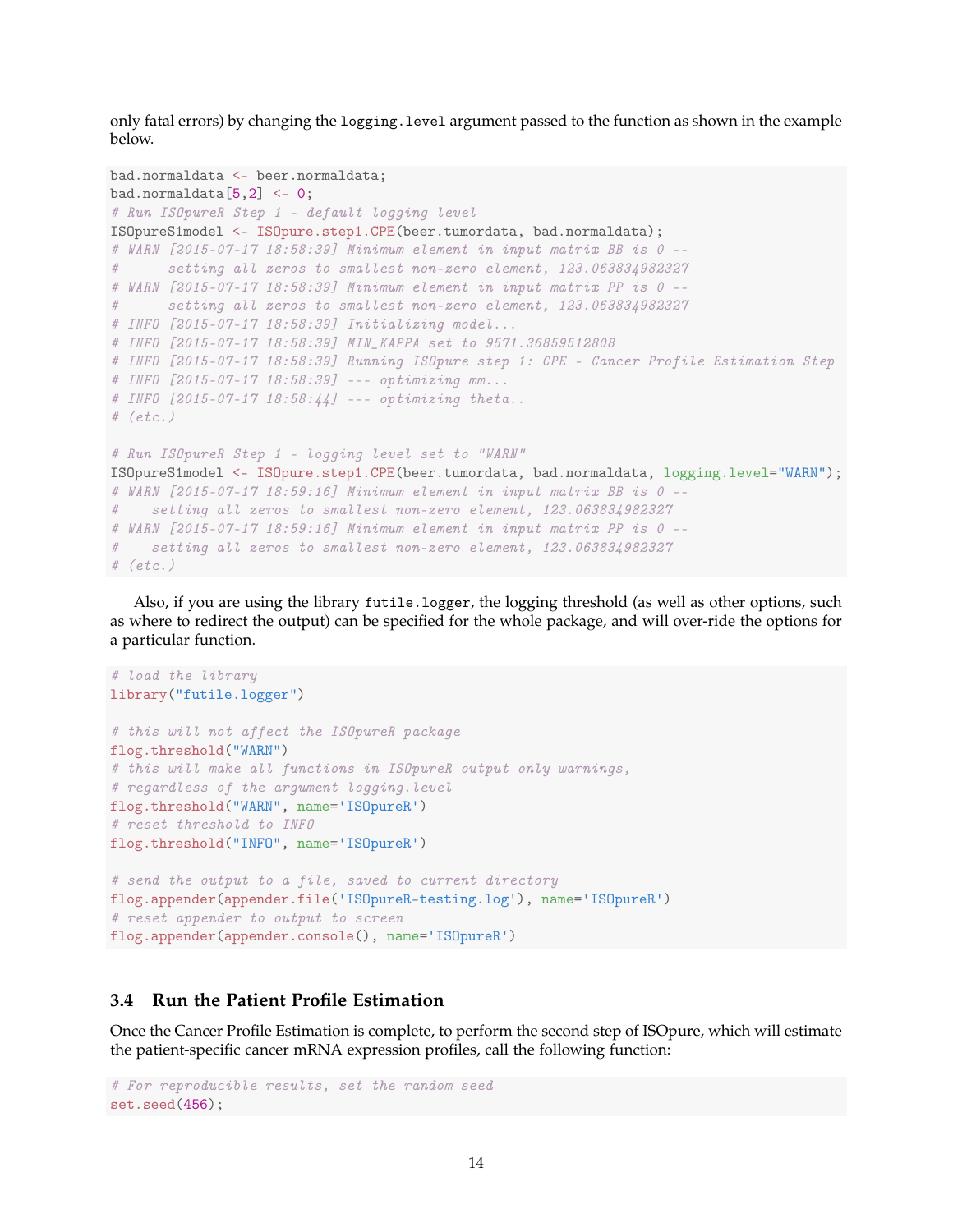only fatal errors) by changing the logging. level argument passed to the function as shown in the example below.

```
bad.normaldata <- beer.normaldata;
bad.normaldata[5,2] <- 0;
# Run ISOpureR Step 1 - default logging level
ISOpureS1model <- ISOpure.step1.CPE(beer.tumordata, bad.normaldata);
# WARN [2015-07-17 18:58:39] Minimum element in input matrix BB is 0 --
# setting all zeros to smallest non-zero element, 123.063834982327
# WARN [2015-07-17 18:58:39] Minimum element in input matrix PP is 0 --
# setting all zeros to smallest non-zero element, 123.063834982327
# INFO [2015-07-17 18:58:39] Initializing model...
# INFO [2015-07-17 18:58:39] MIN_KAPPA set to 9571.36859512808
# INFO [2015-07-17 18:58:39] Running ISOpure step 1: CPE - Cancer Profile Estimation Step
# INFO [2015-07-17 18:58:39] --- optimizing mm...
# INFO [2015-07-17 18:58:44] --- optimizing theta..
# (etc.)
# Run ISOpureR Step 1 - logging level set to "WARN"
ISOpureS1model <- ISOpure.step1.CPE(beer.tumordata, bad.normaldata, logging.level="WARN");
# WARN [2015-07-17 18:59:16] Minimum element in input matrix BB is 0 --
# setting all zeros to smallest non-zero element, 123.063834982327
# WARN [2015-07-17 18:59:16] Minimum element in input matrix PP is 0 --
# setting all zeros to smallest non-zero element, 123.063834982327
# (etc.)
```
Also, if you are using the library futile.logger, the logging threshold (as well as other options, such as where to redirect the output) can be specified for the whole package, and will over-ride the options for a particular function.

```
# load the library
library("futile.logger")
# this will not affect the ISOpureR package
flog.threshold("WARN")
# this will make all functions in ISOpureR output only warnings,
# regardless of the argument logging.level
flog.threshold("WARN", name='ISOpureR')
# reset threshold to INFO
flog.threshold("INFO", name='ISOpureR')
# send the output to a file, saved to current directory
flog.appender(appender.file('ISOpureR-testing.log'), name='ISOpureR')
# reset appender to output to screen
flog.appender(appender.console(), name='ISOpureR')
```
### <span id="page-13-0"></span>**3.4 Run the Patient Profile Estimation**

Once the Cancer Profile Estimation is complete, to perform the second step of ISOpure, which will estimate the patient-specific cancer mRNA expression profiles, call the following function:

```
# For reproducible results, set the random seed
set.seed(456);
```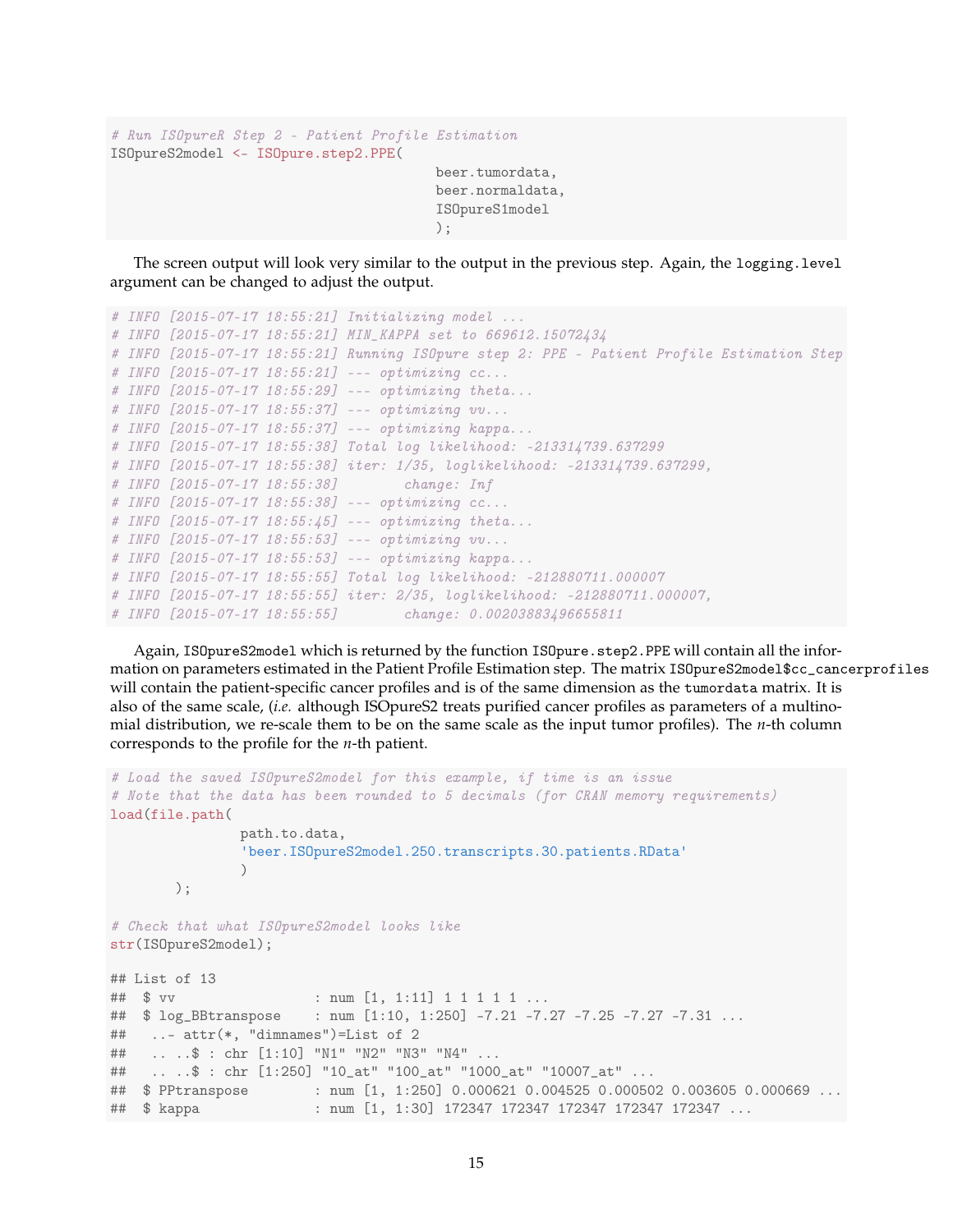```
# Run ISOpureR Step 2 - Patient Profile Estimation
ISOpureS2model <- ISOpure.step2.PPE(
                                        beer.tumordata,
                                        beer.normaldata,
                                        ISOpureS1model
```
The screen output will look very similar to the output in the previous step. Again, the logging.level argument can be changed to adjust the output.

);

```
# INFO [2015-07-17 18:55:21] Initializing model ...
# INFO [2015-07-17 18:55:21] MIN_KAPPA set to 669612.15072434
# INFO [2015-07-17 18:55:21] Running ISOpure step 2: PPE - Patient Profile Estimation Step
# INFO [2015-07-17 18:55:21] --- optimizing cc...
# INFO [2015-07-17 18:55:29] --- optimizing theta...
# INFO [2015-07-17 18:55:37] --- optimizing vv...
# INFO [2015-07-17 18:55:37] --- optimizing kappa...
# INFO [2015-07-17 18:55:38] Total log likelihood: -213314739.637299
# INFO [2015-07-17 18:55:38] iter: 1/35, loglikelihood: -213314739.637299,
# INFO [2015-07-17 18:55:38] change: Inf
# INFO [2015-07-17 18:55:38] --- optimizing cc...
# INFO [2015-07-17 18:55:45] --- optimizing theta...
# INFO [2015-07-17 18:55:53] --- optimizing vv...
# INFO [2015-07-17 18:55:53] --- optimizing kappa...
# INFO [2015-07-17 18:55:55] Total log likelihood: -212880711.000007
# INFO [2015-07-17 18:55:55] iter: 2/35, loglikelihood: -212880711.000007,
# INFO [2015-07-17 18:55:55] change: 0.00203883496655811
```
Again, ISOpureS2model which is returned by the function ISOpure.step2.PPE will contain all the information on parameters estimated in the Patient Profile Estimation step. The matrix ISOpureS2model\$cc\_cancerprofiles will contain the patient-specific cancer profiles and is of the same dimension as the tumordata matrix. It is also of the same scale, (*i.e.* although ISOpureS2 treats purified cancer profiles as parameters of a multinomial distribution, we re-scale them to be on the same scale as the input tumor profiles). The *n*-th column corresponds to the profile for the *n*-th patient.

```
# Load the saved ISOpureS2model for this example, if time is an issue
# Note that the data has been rounded to 5 decimals (for CRAN memory requirements)
load(file.path(
               path.to.data,
               'beer.ISOpureS2model.250.transcripts.30.patients.RData'
               )
       );
# Check that what ISOpureS2model looks like
str(ISOpureS2model);
## List of 13
## $ vv : num [1, 1:11] 1 1 1 1 1 ...
## $ log_BBtranspose : num [1:10, 1:250] -7.21 -7.27 -7.25 -7.27 -7.31 ...
## ..- attr(*, "dimnames")=List of 2
## .. ..$ : chr [1:10] "N1" "N2" "N3" "N4" ...
## .. ..$ : chr [1:250] "10_at" "100_at" "1000_at" "10007_at" ...
                   : num [1, 1:250] 0.000621 0.004525 0.000502 0.003605 0.000669 \ldots## $ kappa : num [1, 1:30] 172347 172347 172347 172347 172347 ...
```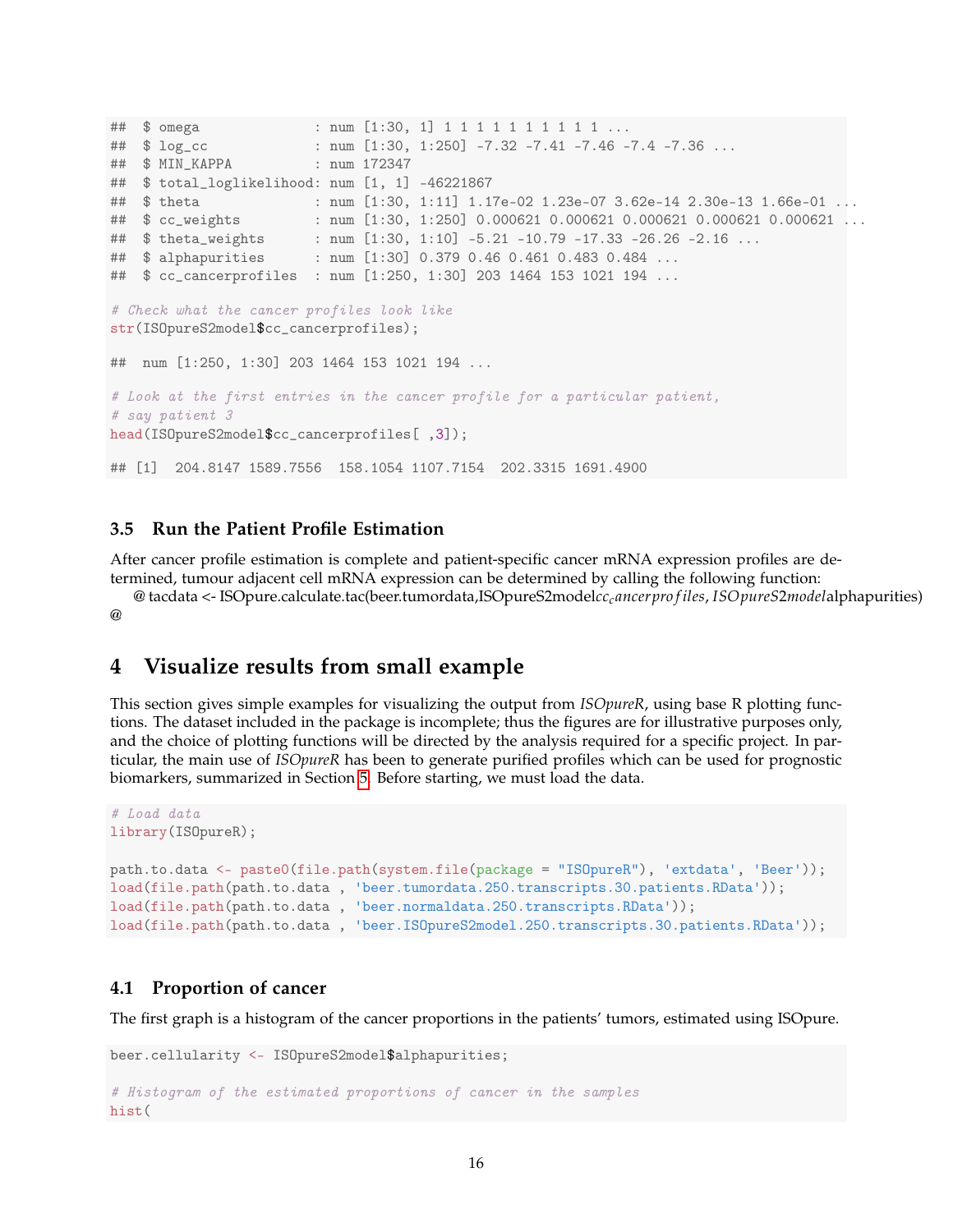```
## $ omega : num [1:30, 1] 1 1 1 1 1 1 1 1 1 1 ...
## $ log_cc : num [1:30, 1:250] -7.32 -7.41 -7.46 -7.4 -7.36 ...
## $ MIN_KAPPA : num 172347
## $ total_loglikelihood: num [1, 1] -46221867
## $ theta : num [1:30, 1:11] 1.17e-02 1.23e-07 3.62e-14 2.30e-13 1.66e-01 ...
## $ cc_weights : num [1:30, 1:250] 0.000621 0.000621 0.000621 0.000621 0.000621 ...
## $ theta_weights : num [1:30, 1:10] -5.21 -10.79 -17.33 -26.26 -2.16 ...
## $ alphapurities : num [1:30] 0.379 0.46 0.461 0.483 0.484 ...
## $ cc_cancerprofiles : num [1:250, 1:30] 203 1464 153 1021 194 ...
# Check what the cancer profiles look like
str(ISOpureS2model$cc_cancerprofiles);
## num [1:250, 1:30] 203 1464 153 1021 194 ...
# Look at the first entries in the cancer profile for a particular patient,
# say patient 3
head(ISOpureS2model$cc_cancerprofiles[ ,3]);
## [1] 204.8147 1589.7556 158.1054 1107.7154 202.3315 1691.4900
```
### <span id="page-15-0"></span>**3.5 Run the Patient Profile Estimation**

After cancer profile estimation is complete and patient-specific cancer mRNA expression profiles are determined, tumour adjacent cell mRNA expression can be determined by calling the following function:

@ tacdata <- ISOpure.calculate.tac(beer.tumordata,ISOpureS2model*cccancerpro f iles*, *ISOpureS*2*model*alphapurities)  $\omega$ 

### <span id="page-15-1"></span>**4 Visualize results from small example**

This section gives simple examples for visualizing the output from *ISOpureR*, using base R plotting functions. The dataset included in the package is incomplete; thus the figures are for illustrative purposes only, and the choice of plotting functions will be directed by the analysis required for a specific project. In particular, the main use of *ISOpureR* has been to generate purified profiles which can be used for prognostic biomarkers, summarized in Section [5.](#page-22-0) Before starting, we must load the data.

```
# Load data
library(ISOpureR);
path.to.data <- paste0(file.path(system.file(package = "ISOpureR"), 'extdata', 'Beer'));
load(file.path(path.to.data , 'beer.tumordata.250.transcripts.30.patients.RData'));
load(file.path(path.to.data , 'beer.normaldata.250.transcripts.RData'));
load(file.path(path.to.data , 'beer.ISOpureS2model.250.transcripts.30.patients.RData'));
```
### <span id="page-15-2"></span>**4.1 Proportion of cancer**

The first graph is a histogram of the cancer proportions in the patients' tumors, estimated using ISOpure.

```
beer.cellularity <- ISOpureS2model$alphapurities;
# Histogram of the estimated proportions of cancer in the samples
hist(
```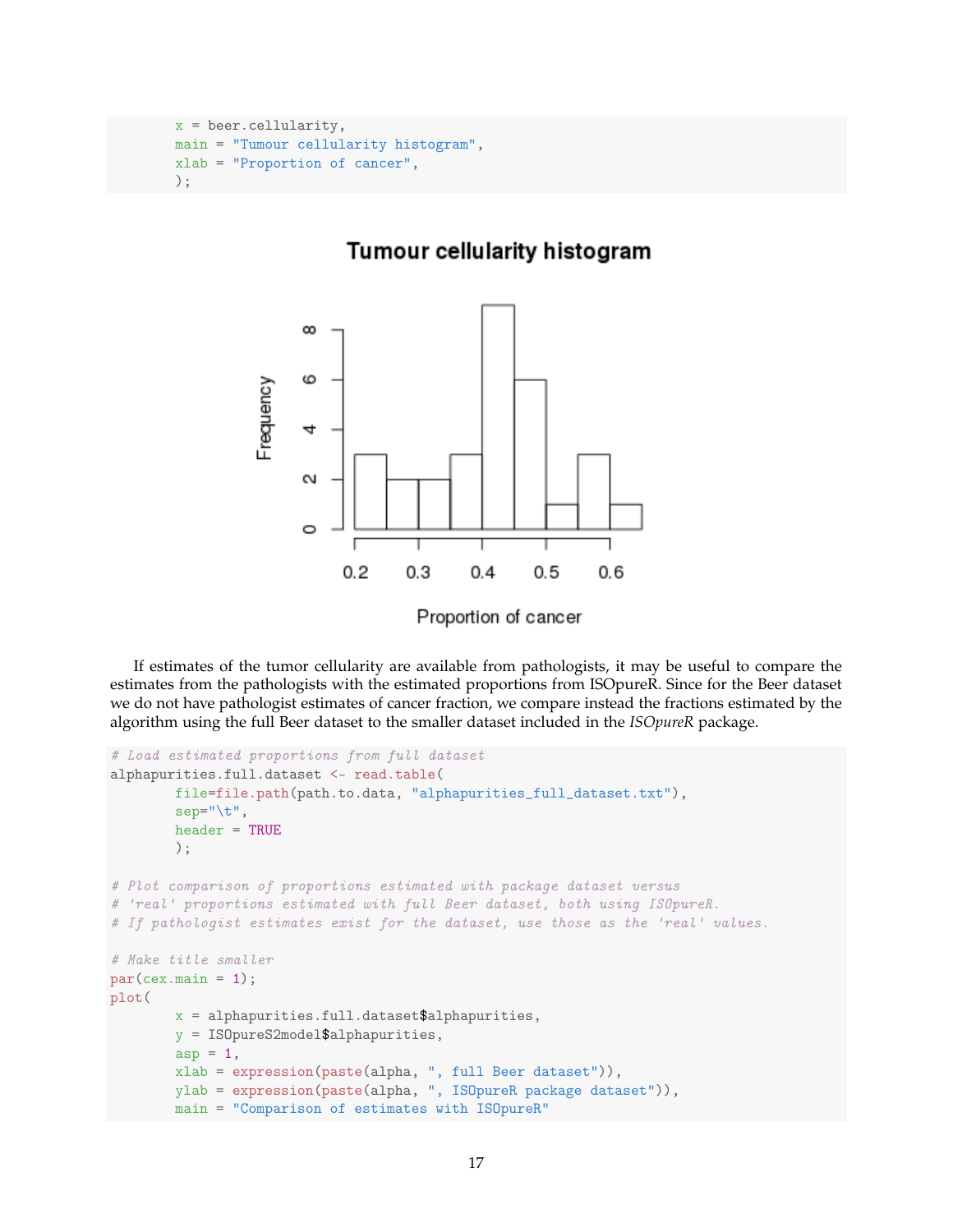```
x = \text{beer.cellularity},main = "Tumour cellularity histogram",
xlab = "Proportion of cancer",
);
```
### Tumour cellularity histogram



If estimates of the tumor cellularity are available from pathologists, it may be useful to compare the estimates from the pathologists with the estimated proportions from ISOpureR. Since for the Beer dataset we do not have pathologist estimates of cancer fraction, we compare instead the fractions estimated by the algorithm using the full Beer dataset to the smaller dataset included in the *ISOpureR* package.

```
# Load estimated proportions from full dataset
alphapurities.full.dataset <- read.table(
        file=file.path(path.to.data, "alphapurities_full_dataset.txt"),
        sep="\t",
        header = TRUE);
# Plot comparison of proportions estimated with package dataset versus
# 'real' proportions estimated with full Beer dataset, both using ISOpureR.
# If pathologist estimates exist for the dataset, use those as the 'real' values.
# Make title smaller
par(cex.mainloop = 1);plot(
        x = alphapurities.full.dataset$alphapurities,
        y = ISOpureS2model$alphapurities,
        asp = 1,xlab = expression(paste(alpha, ", full Beer dataset")),
        ylab = expression(paste(alpha, ", ISOpureR package dataset")),
        main = "Comparison of estimates with ISOpureR"
```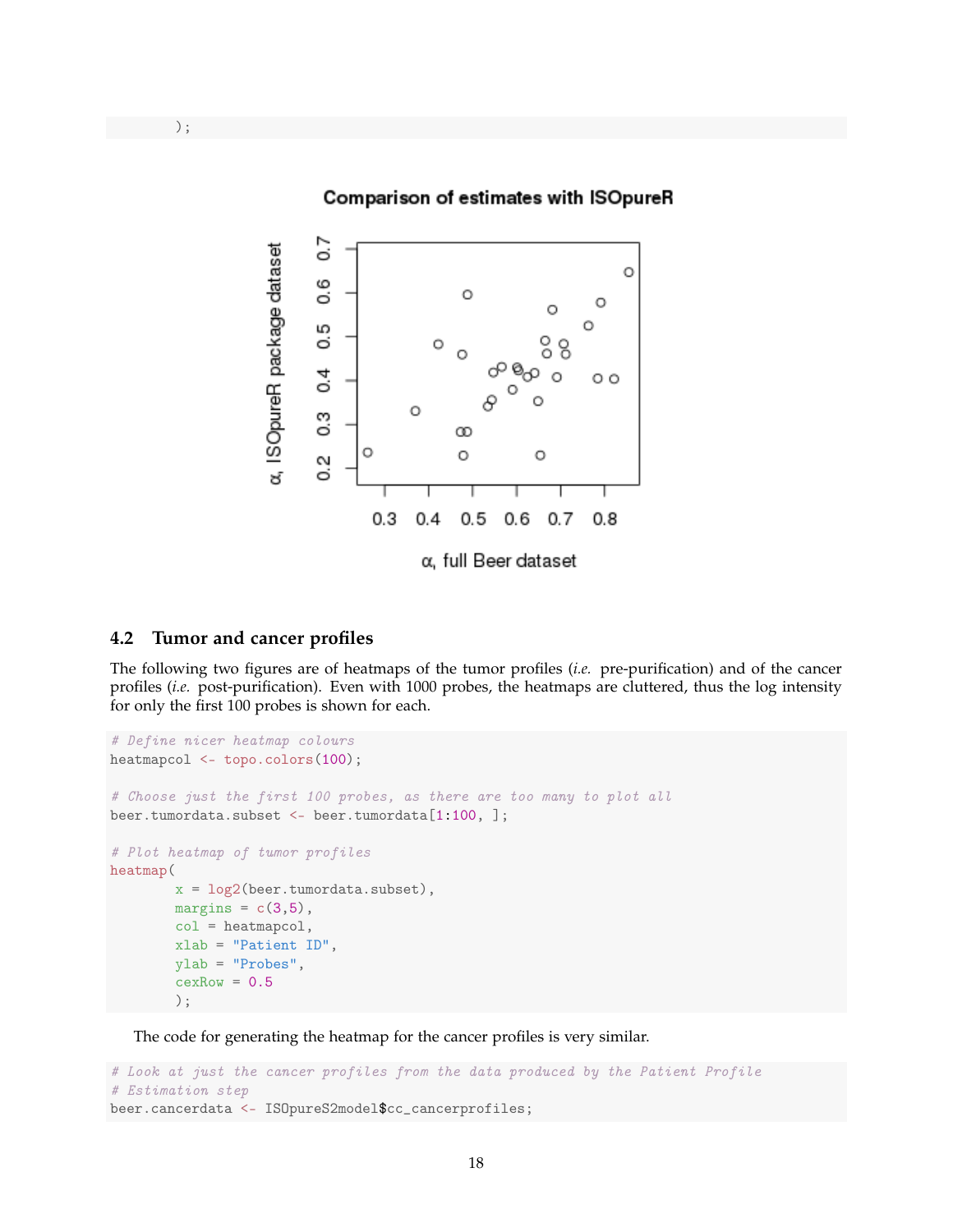

### <span id="page-17-0"></span>**4.2 Tumor and cancer profiles**

The following two figures are of heatmaps of the tumor profiles (*i.e.* pre-purification) and of the cancer profiles (*i.e.* post-purification). Even with 1000 probes, the heatmaps are cluttered, thus the log intensity for only the first 100 probes is shown for each.

```
# Define nicer heatmap colours
heatmapcol <- topo.colors(100);
# Choose just the first 100 probes, as there are too many to plot all
beer.tumordata.subset <- beer.tumordata[1:100, ];
# Plot heatmap of tumor profiles
heatmap(
        x = \log(2(\text{beer.tumordata.subset}),margins = c(3,5),
        col = heatmapcol,
        xlab = "Patient ID",
        ylab = "Probes",
        cexRow = 0.5);
```
The code for generating the heatmap for the cancer profiles is very similar.

```
# Look at just the cancer profiles from the data produced by the Patient Profile
# Estimation step
beer.cancerdata <- ISOpureS2model$cc_cancerprofiles;
```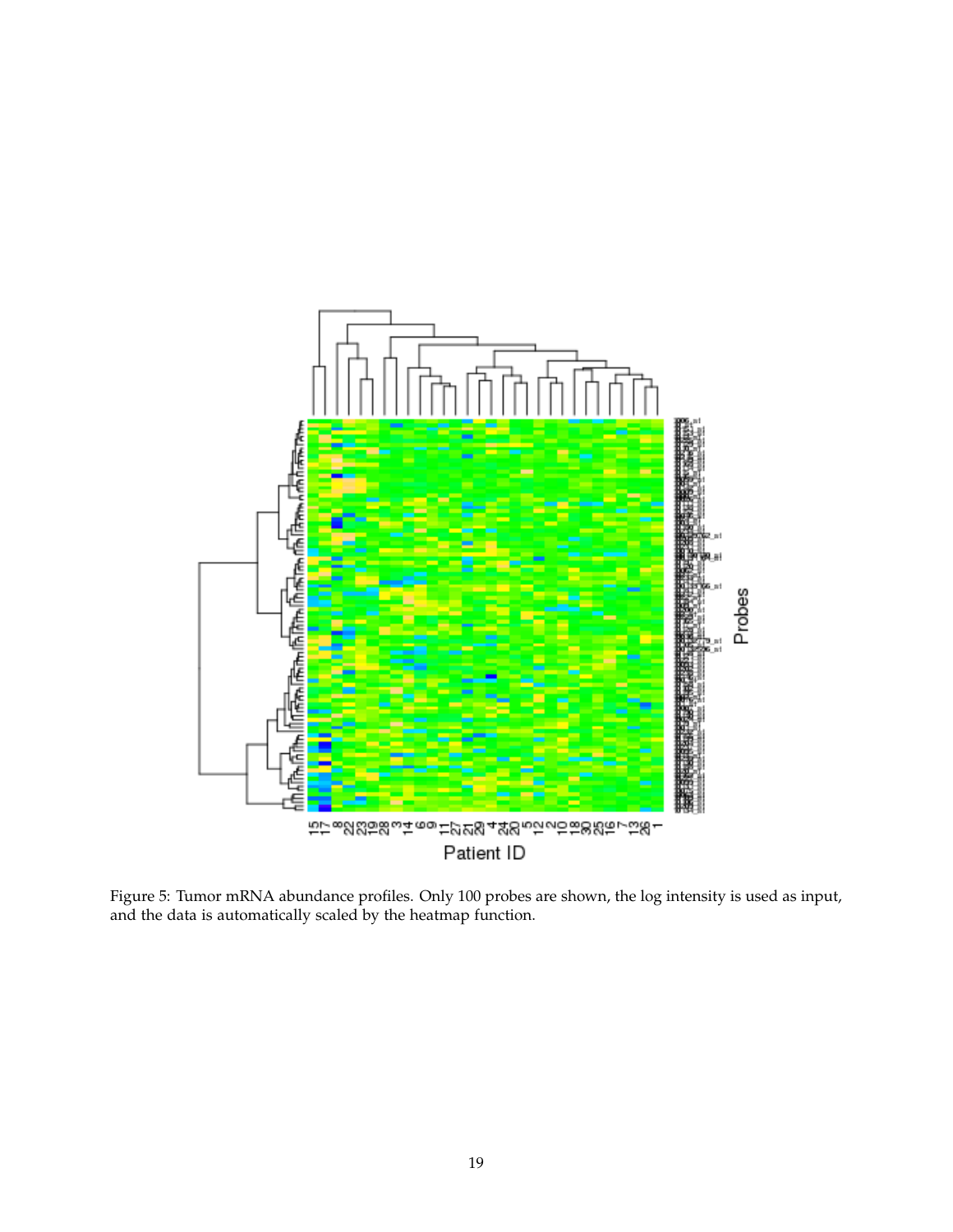

Figure 5: Tumor mRNA abundance profiles. Only 100 probes are shown, the log intensity is used as input, and the data is automatically scaled by the heatmap function.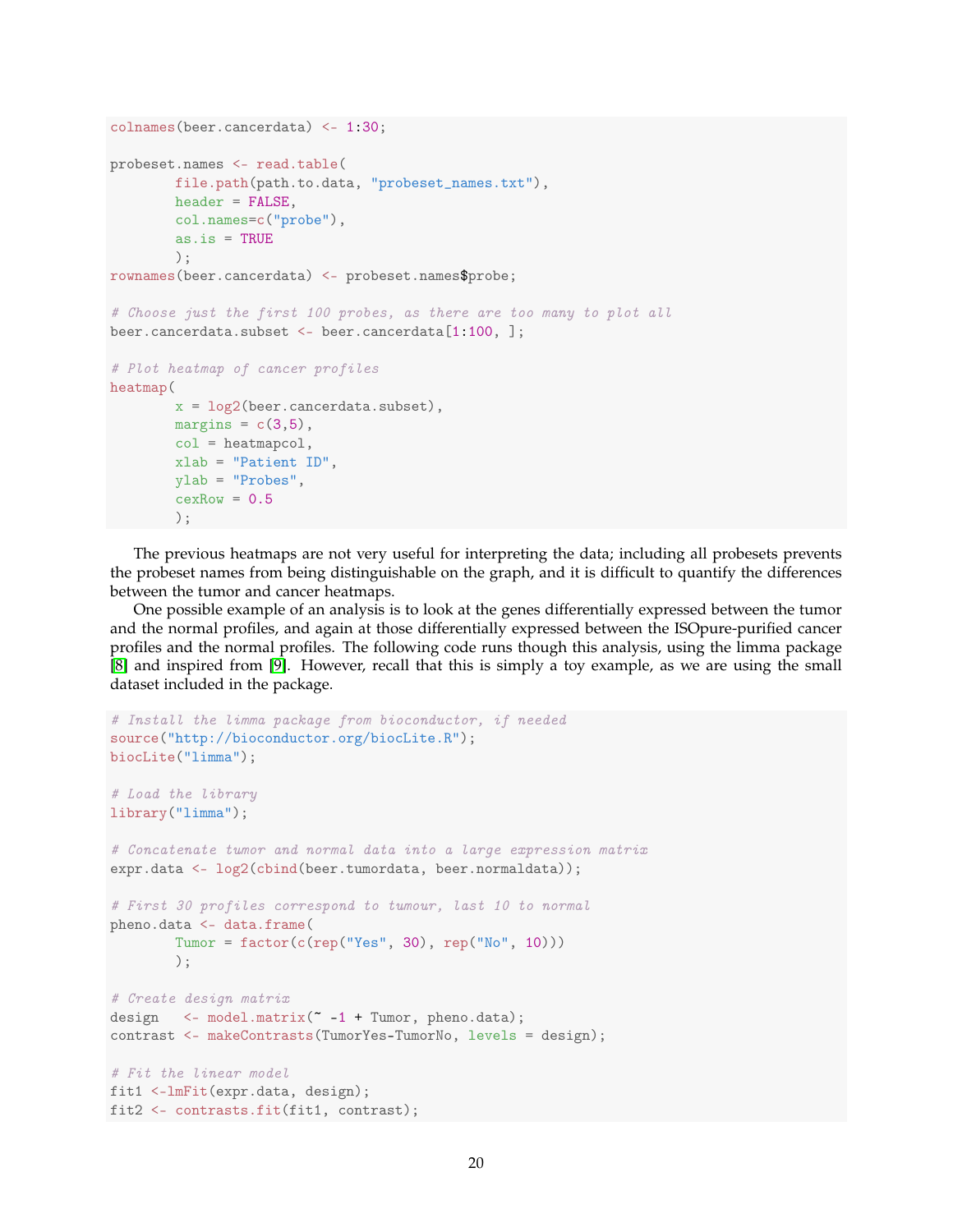```
colnames(beer.cancerdata) <- 1:30;
probeset.names <- read.table(
        file.path(path.to.data, "probeset_names.txt"),
        header = FALSE.col.names=c("probe"),
        as.is = TRUE);
rownames(beer.cancerdata) <- probeset.names$probe;
# Choose just the first 100 probes, as there are too many to plot all
beer.cancerdata.subset <- beer.cancerdata[1:100, ];
# Plot heatmap of cancer profiles
heatmap(
        x = \log 2(\text{beer.cancerdata.subset}),margins = c(3,5),
        col = heatmapcol,
       xlab = "Patient ID",
       ylab = "Probes",
        cexRow = 0.5);
```
The previous heatmaps are not very useful for interpreting the data; including all probesets prevents the probeset names from being distinguishable on the graph, and it is difficult to quantify the differences between the tumor and cancer heatmaps.

One possible example of an analysis is to look at the genes differentially expressed between the tumor and the normal profiles, and again at those differentially expressed between the ISOpure-purified cancer profiles and the normal profiles. The following code runs though this analysis, using the limma package [\[8\]](#page-23-4) and inspired from [\[9\]](#page-24-0). However, recall that this is simply a toy example, as we are using the small dataset included in the package.

```
# Install the limma package from bioconductor, if needed
source("http://bioconductor.org/biocLite.R");
biocLite("limma");
# Load the library
library("limma");
# Concatenate tumor and normal data into a large expression matrix
expr.data <- log2(cbind(beer.tumordata, beer.normaldata));
# First 30 profiles correspond to tumour, last 10 to normal
pheno.data <- data.frame(
        Tumor = factor(c(rep("Yes", 30), rep("No", 10))));
# Create design matrix
design \leq-model.matrix(\sim-1 + Tumor, pheno.data);
contrast <- makeContrasts(TumorYes-TumorNo, levels = design);
# Fit the linear model
fit1 <-lmFit(expr.data, design);
fit2 <- contrasts.fit(fit1, contrast);
```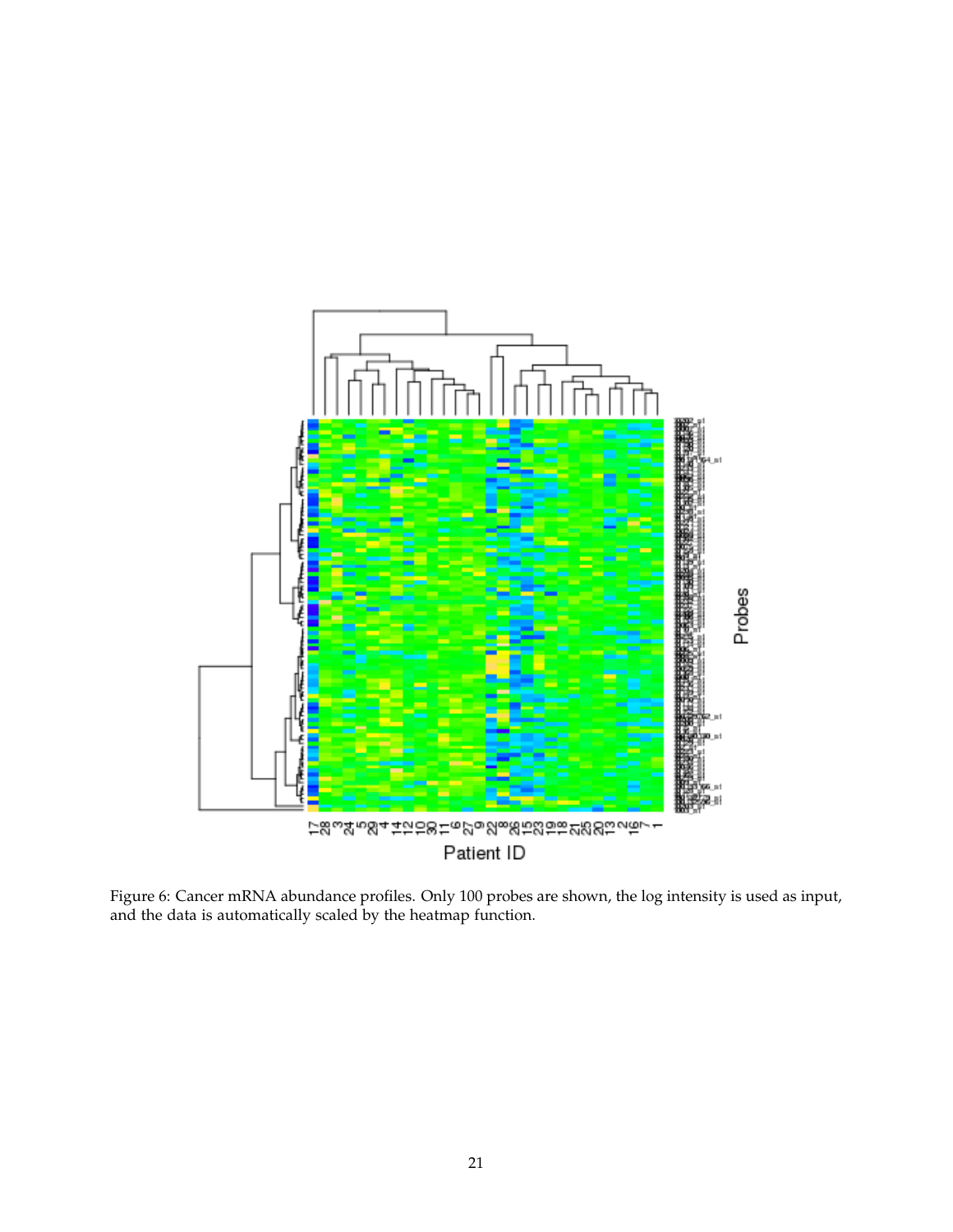

Figure 6: Cancer mRNA abundance profiles. Only 100 probes are shown, the log intensity is used as input, and the data is automatically scaled by the heatmap function.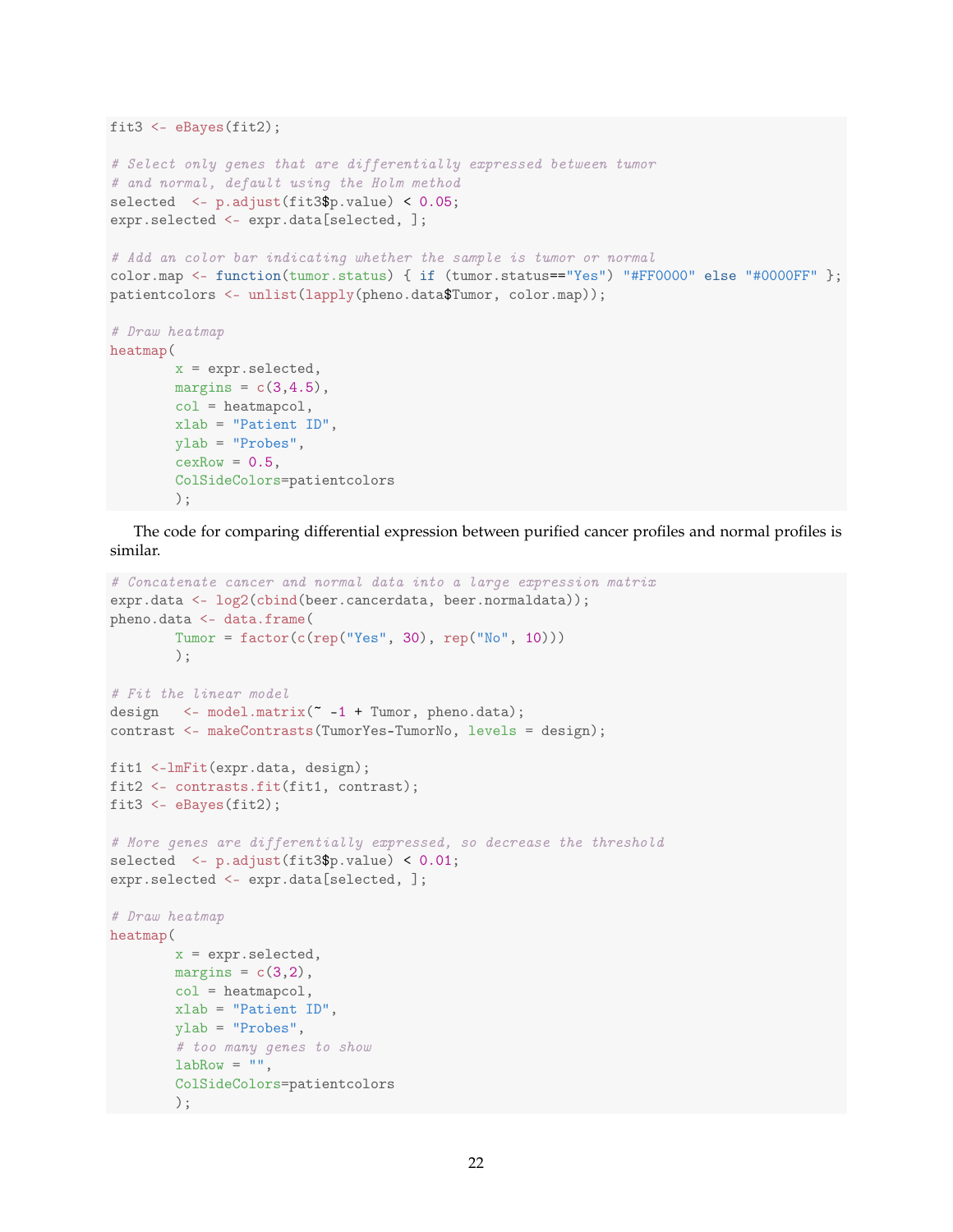```
fit3 \leftarrow eBayes(fit2);
# Select only genes that are differentially expressed between tumor
# and normal, default using the Holm method
selected \leq p.adjust(fit3$p.value) \leq 0.05;
expr.selected <- expr.data[selected, ];
# Add an color bar indicating whether the sample is tumor or normal
color.map <- function(tumor.status) { if (tumor.status=="Yes") "#FF0000" else "#0000FF" };
patientcolors <- unlist(lapply(pheno.data$Tumor, color.map));
# Draw heatmap
heatmap(
        x = expr.selected,
       margins = c(3,4.5),
       col = heatmapcol,xlab = "Patient ID",
        ylab = "Probes",
        cexRow = 0.5,
        ColSideColors=patientcolors
        );
```
The code for comparing differential expression between purified cancer profiles and normal profiles is similar.

```
# Concatenate cancer and normal data into a large expression matrix
expr.data <- log2(cbind(beer.cancerdata, beer.normaldata));
pheno.data <- data.frame(
        Tumor = factor(c(rep("Yes", 30), rep("No", 10)))
        );
# Fit the linear model
design \leq-model.matrix(\sim-1 + Tumor, pheno.data);
contrast <- makeContrasts(TumorYes-TumorNo, levels = design);
fit1 <-lmFit(expr.data, design);
fit2 <- contrasts.fit(fit1, contrast);
fit3 \leftarrow eBayes(fit2);
# More genes are differentially expressed, so decrease the threshold
selected <- p.adjust(fit3$p.value) < 0.01;
expr.selected <- expr.data[selected, ];
# Draw heatmap
heatmap(
        x = expr.selected,
        margins = c(3,2),
        col = heatmapcol,
        xlab = "Patient ID",
        ylab = "Probes",
        # too many genes to show
        labRow = " " "ColSideColors=patientcolors
        );
```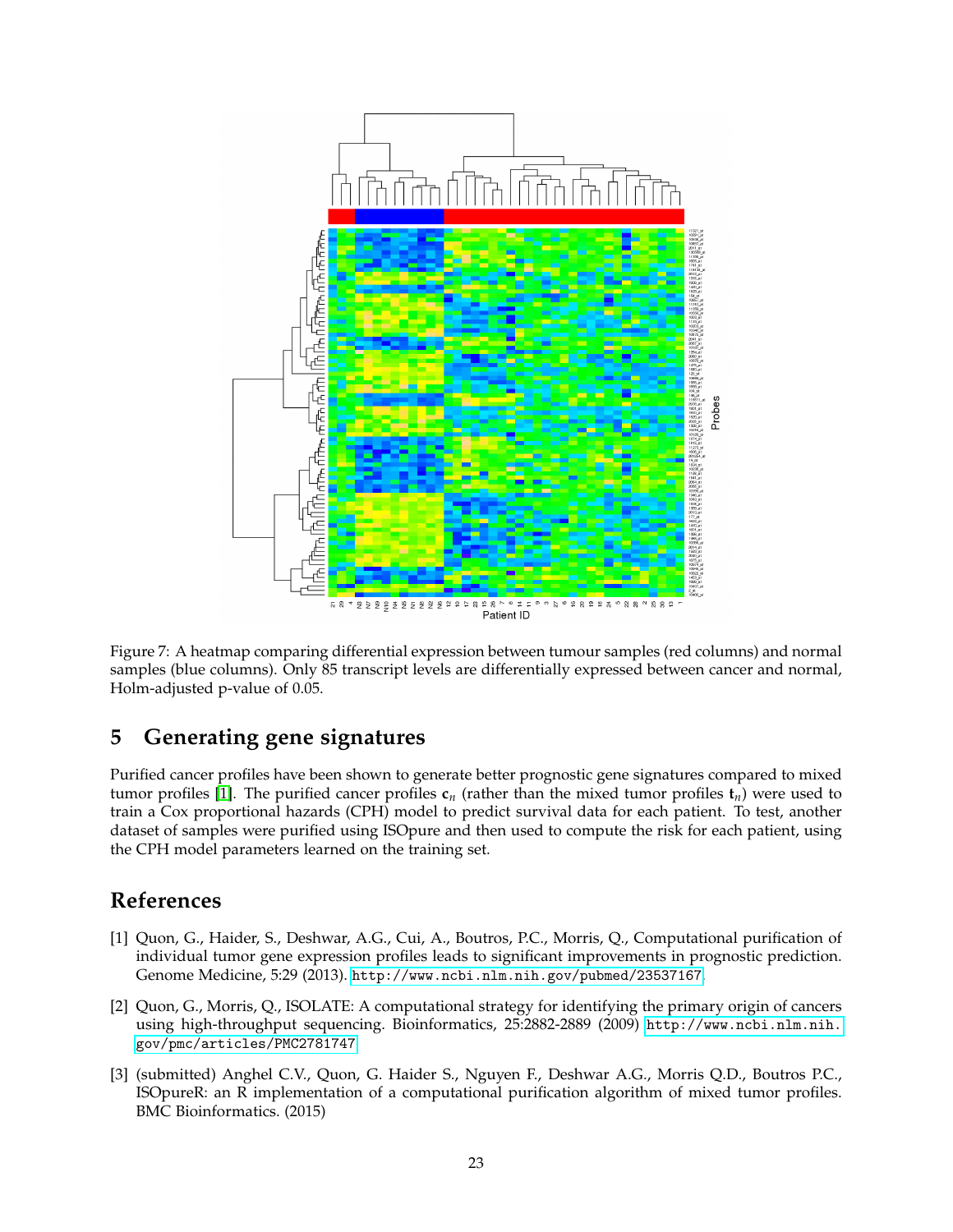

Figure 7: A heatmap comparing differential expression between tumour samples (red columns) and normal samples (blue columns). Only 85 transcript levels are differentially expressed between cancer and normal, Holm-adjusted p-value of 0.05.

### <span id="page-22-0"></span>**5 Generating gene signatures**

Purified cancer profiles have been shown to generate better prognostic gene signatures compared to mixed tumor profiles [\[1\]](#page-22-1). The purified cancer profiles  $c_n$  (rather than the mixed tumor profiles  $t_n$ ) were used to train a Cox proportional hazards (CPH) model to predict survival data for each patient. To test, another dataset of samples were purified using ISOpure and then used to compute the risk for each patient, using the CPH model parameters learned on the training set.

### **References**

- <span id="page-22-1"></span>[1] Quon, G., Haider, S., Deshwar, A.G., Cui, A., Boutros, P.C., Morris, Q., Computational purification of individual tumor gene expression profiles leads to significant improvements in prognostic prediction. Genome Medicine, 5:29 (2013). <http://www.ncbi.nlm.nih.gov/pubmed/23537167>.
- <span id="page-22-3"></span>[2] Quon, G., Morris, Q., ISOLATE: A computational strategy for identifying the primary origin of cancers using high-throughput sequencing. Bioinformatics, 25:2882-2889 (2009) [http://www.ncbi.nlm.nih.](http://www.ncbi.nlm.nih.gov/pmc/articles/PMC2781747) [gov/pmc/articles/PMC2781747](http://www.ncbi.nlm.nih.gov/pmc/articles/PMC2781747)
- <span id="page-22-2"></span>[3] (submitted) Anghel C.V., Quon, G. Haider S., Nguyen F., Deshwar A.G., Morris Q.D., Boutros P.C., ISOpureR: an R implementation of a computational purification algorithm of mixed tumor profiles. BMC Bioinformatics. (2015)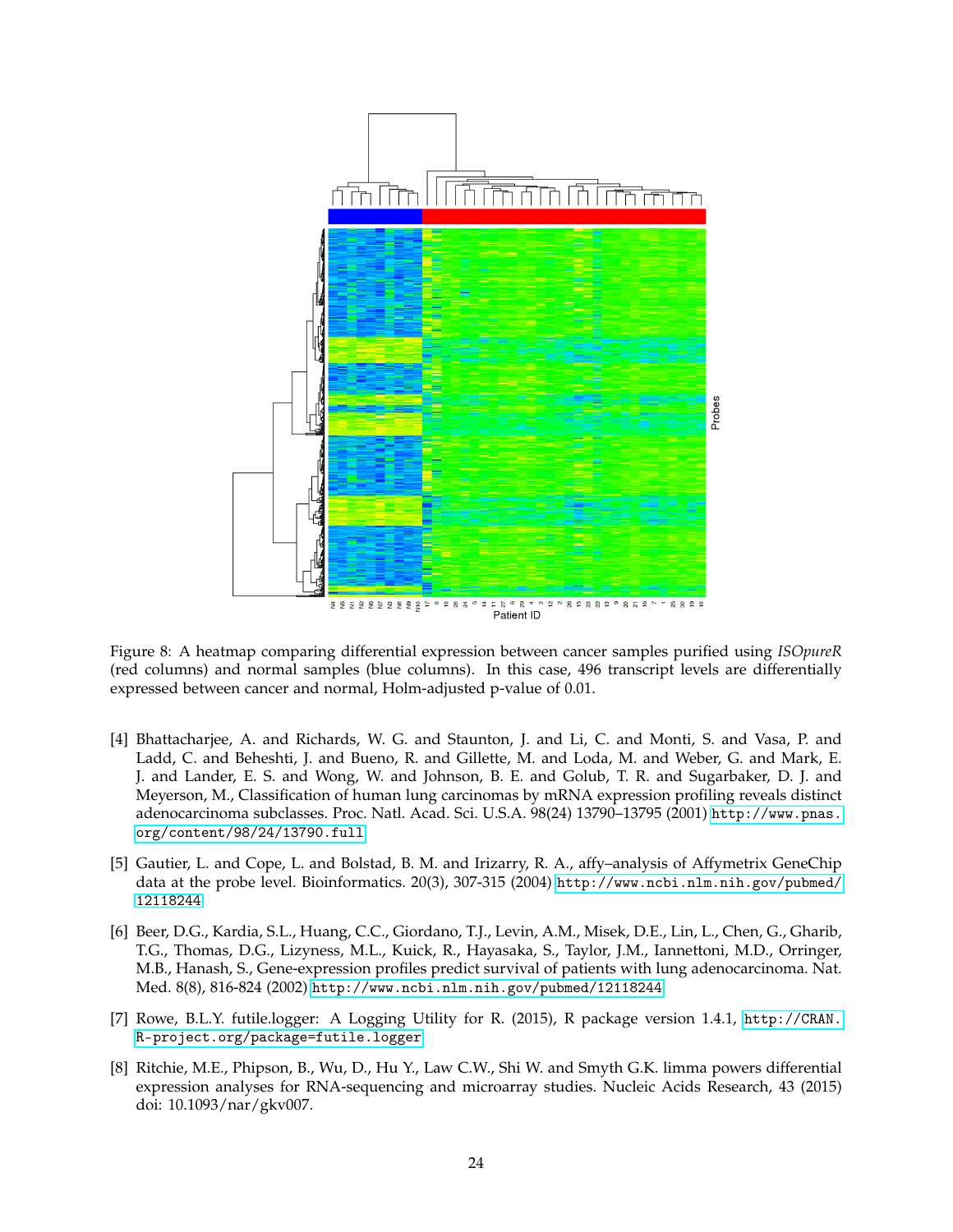

Figure 8: A heatmap comparing differential expression between cancer samples purified using *ISOpureR* (red columns) and normal samples (blue columns). In this case, 496 transcript levels are differentially expressed between cancer and normal, Holm-adjusted p-value of 0.01.

- <span id="page-23-0"></span>[4] Bhattacharjee, A. and Richards, W. G. and Staunton, J. and Li, C. and Monti, S. and Vasa, P. and Ladd, C. and Beheshti, J. and Bueno, R. and Gillette, M. and Loda, M. and Weber, G. and Mark, E. J. and Lander, E. S. and Wong, W. and Johnson, B. E. and Golub, T. R. and Sugarbaker, D. J. and Meyerson, M., Classification of human lung carcinomas by mRNA expression profiling reveals distinct adenocarcinoma subclasses. Proc. Natl. Acad. Sci. U.S.A. 98(24) 13790–13795 (2001) [http://www.pnas.](http://www.pnas.org/content/98/24/13790.full) [org/content/98/24/13790.full](http://www.pnas.org/content/98/24/13790.full)
- <span id="page-23-1"></span>[5] Gautier, L. and Cope, L. and Bolstad, B. M. and Irizarry, R. A., affy–analysis of Affymetrix GeneChip data at the probe level. Bioinformatics. 20(3), 307-315 (2004) [http://www.ncbi.nlm.nih.gov/pubmed/](http://www.ncbi.nlm.nih.gov/pubmed/12118244) [12118244](http://www.ncbi.nlm.nih.gov/pubmed/12118244)
- <span id="page-23-2"></span>[6] Beer, D.G., Kardia, S.L., Huang, C.C., Giordano, T.J., Levin, A.M., Misek, D.E., Lin, L., Chen, G., Gharib, T.G., Thomas, D.G., Lizyness, M.L., Kuick, R., Hayasaka, S., Taylor, J.M., Iannettoni, M.D., Orringer, M.B., Hanash, S., Gene-expression profiles predict survival of patients with lung adenocarcinoma. Nat. Med. 8(8), 816-824 (2002) <http://www.ncbi.nlm.nih.gov/pubmed/12118244>
- <span id="page-23-3"></span>[7] Rowe, B.L.Y. futile.logger: A Logging Utility for R. (2015), R package version 1.4.1, [http://CRAN.](http://CRAN.R-project.org/package=futile.logger) [R-project.org/package=futile.logger](http://CRAN.R-project.org/package=futile.logger)
- <span id="page-23-4"></span>[8] Ritchie, M.E., Phipson, B., Wu, D., Hu Y., Law C.W., Shi W. and Smyth G.K. limma powers differential expression analyses for RNA-sequencing and microarray studies. Nucleic Acids Research, 43 (2015) doi: 10.1093/nar/gkv007.